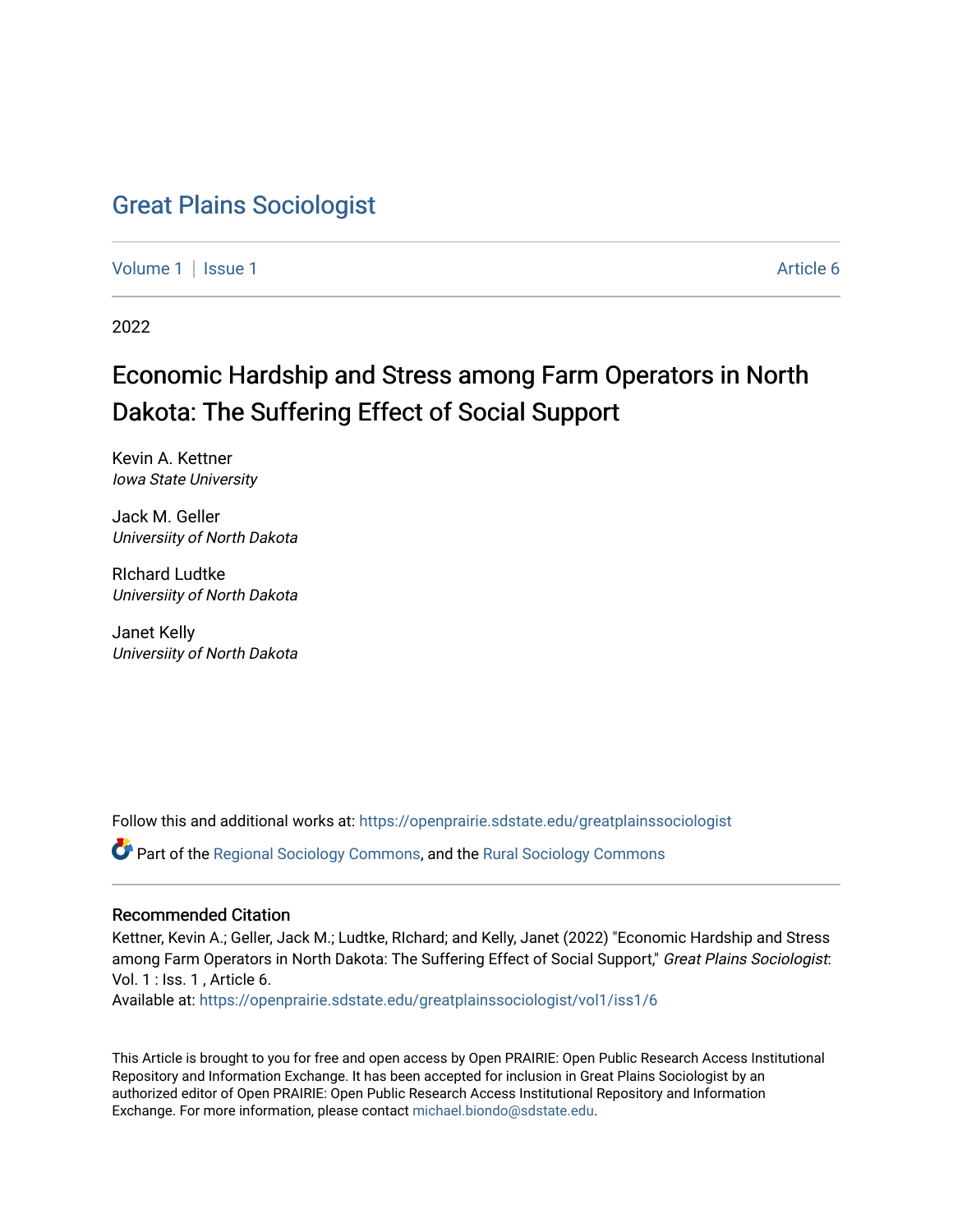## [Great Plains Sociologist](https://openprairie.sdstate.edu/greatplainssociologist)

[Volume 1](https://openprairie.sdstate.edu/greatplainssociologist/vol1) | [Issue 1](https://openprairie.sdstate.edu/greatplainssociologist/vol1/iss1) Article 6

2022

# Economic Hardship and Stress among Farm Operators in North Dakota: The Suffering Effect of Social Support

Kevin A. Kettner Iowa State University

Jack M. Geller Universiity of North Dakota

RIchard Ludtke Universiity of North Dakota

Janet Kelly Universiity of North Dakota

Follow this and additional works at: [https://openprairie.sdstate.edu/greatplainssociologist](https://openprairie.sdstate.edu/greatplainssociologist?utm_source=openprairie.sdstate.edu%2Fgreatplainssociologist%2Fvol1%2Fiss1%2F6&utm_medium=PDF&utm_campaign=PDFCoverPages) 

Part of the [Regional Sociology Commons](http://network.bepress.com/hgg/discipline/427?utm_source=openprairie.sdstate.edu%2Fgreatplainssociologist%2Fvol1%2Fiss1%2F6&utm_medium=PDF&utm_campaign=PDFCoverPages), and the [Rural Sociology Commons](http://network.bepress.com/hgg/discipline/428?utm_source=openprairie.sdstate.edu%2Fgreatplainssociologist%2Fvol1%2Fiss1%2F6&utm_medium=PDF&utm_campaign=PDFCoverPages) 

### Recommended Citation

Kettner, Kevin A.; Geller, Jack M.; Ludtke, RIchard; and Kelly, Janet (2022) "Economic Hardship and Stress among Farm Operators in North Dakota: The Suffering Effect of Social Support," Great Plains Sociologist: Vol. 1 : Iss. 1 , Article 6.

Available at: [https://openprairie.sdstate.edu/greatplainssociologist/vol1/iss1/6](https://openprairie.sdstate.edu/greatplainssociologist/vol1/iss1/6?utm_source=openprairie.sdstate.edu%2Fgreatplainssociologist%2Fvol1%2Fiss1%2F6&utm_medium=PDF&utm_campaign=PDFCoverPages) 

This Article is brought to you for free and open access by Open PRAIRIE: Open Public Research Access Institutional Repository and Information Exchange. It has been accepted for inclusion in Great Plains Sociologist by an authorized editor of Open PRAIRIE: Open Public Research Access Institutional Repository and Information Exchange. For more information, please contact [michael.biondo@sdstate.edu.](mailto:michael.biondo@sdstate.edu)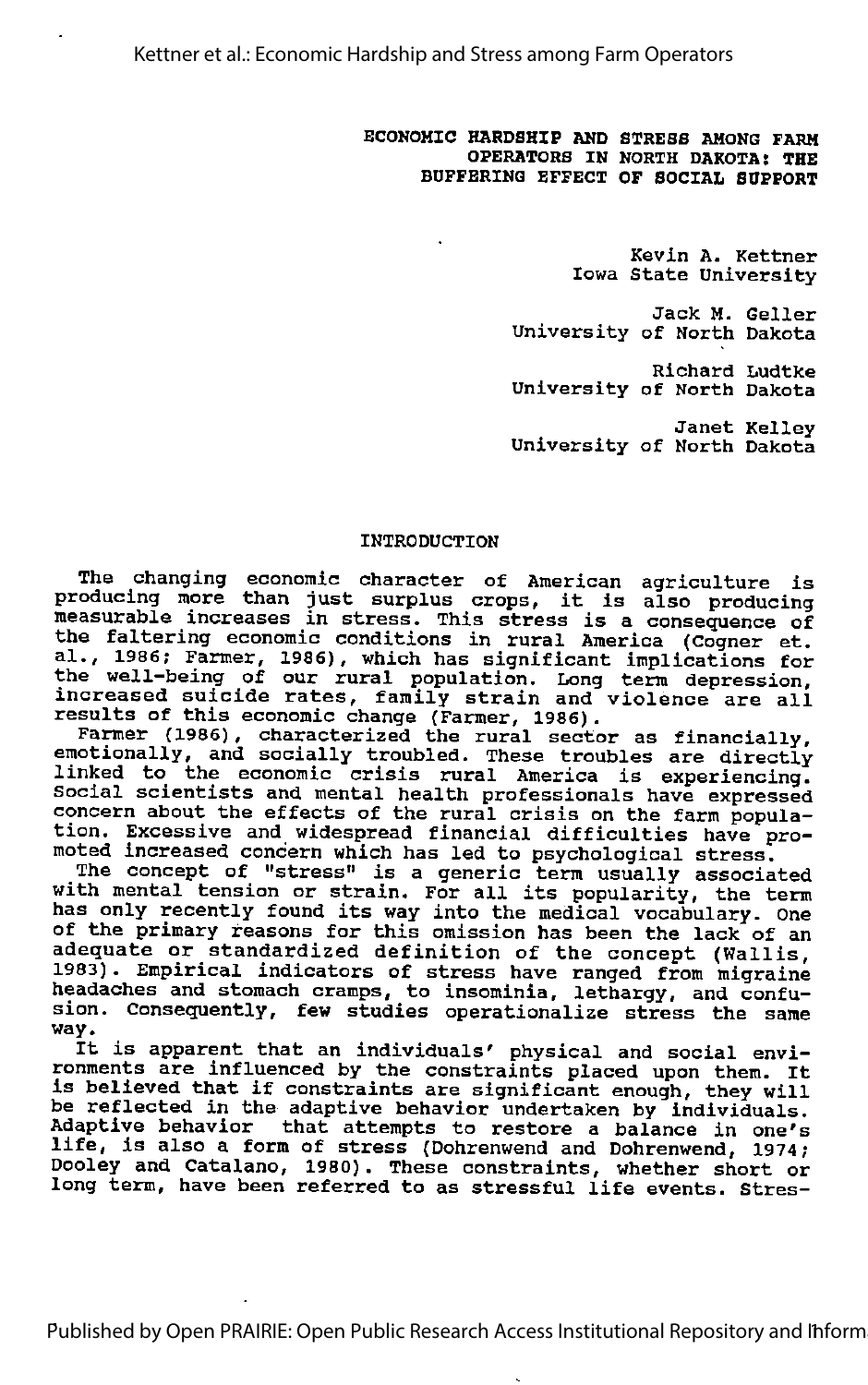ECONOMIC HARDSHIP AND STRESS AMONG FARM OPERATORS IN NORTH DAKOTA: THE BUFFERING EFFECT OF SOCIAL SUPPORT

> Kevin A. Kettner Iowa State University

Jack M. Geller University of North Dakota

Richard Ludtke University of North Dakota

Janet Kelley University of North Dakota

### INTRODUCTION

The changing economic character of American agriculture is producing more than just surplus crops, it is also producing measurable increases in stress. This stress is <sup>a</sup> consequence of the faltering economic conditions in rural America (Cogner et. al, 1986; Farmer, 1986), which has significant implications for al., 1986; Farmer, 1986), which has significant implications for the well-being of our rural population. Long term depression, increased suicide rates, family strain and violence are all Increased Suicide Tates, Tamily Strain and<br>results of this economic change (Farmer, 1986).

Farmer (1986), characterized the rural sector as financially,<br>emotionally, and socially troubled. These troubles are directly<br>linked to the economic crisis rural America is experiencing.<br>Social scientists and mental health Social scientists and mental health professionals have expressed<br>concern about the effects of the rural crisis on the farm popula-<br>tion. Excessive and widespread financial difficulties have promoted increased concern which has led to psychological stress.

The concept of "stress" is <sup>a</sup> generic term usually associated with mental tension or strain. For all its popularity, the term with mental tension or strain. For all its popularity, the term<br>has only recently found its way into the medical vocabulary. One only issently found fits way finds the medical vocabulary. One adequate or standardized definition of the concept (Wallis, acceptator of Bodhadidined definition of the contept (wailis,<br>1983). Empirical indicators of stress have ranged from migraine headaches and stomach cramps, to insominia, lethargy, and confu sion. Consequently, few studies operationalize stress the same<br>way.

It is apparent that an individuals' physical and social envi It is apparent that an individuals' physical and social envi-<br>conments are influenced by the constraints placed upon them. It ronments are influenced by the constraints placed upon them. It<br>is believed that if constraints are significant enough, they will be reflected in the adaptive behavior undertaken by individuals. **Adaptive behavior** that attempts to restore a balance in one's ndiperve behavior that attempts to restore a balance in one's<br>life, is also a form of stress (Dohrenwend and Dohrenwend, 1974; Dooley and Catalano, 1980). These constraints, whether short or long term, have been referred to as stressful life events. Stres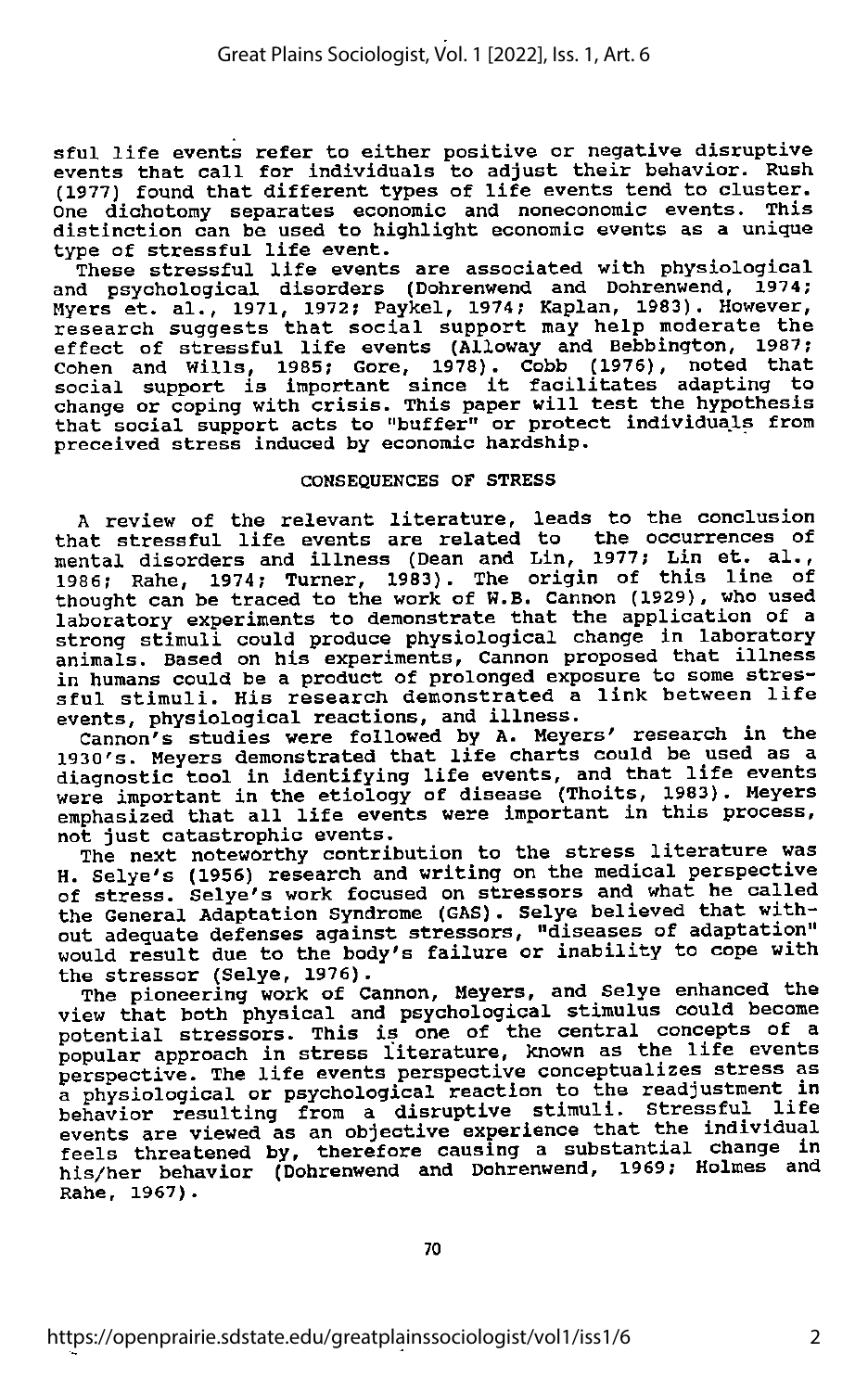sful life events refer to either positive or negative disruptive events that call for individuals to adjust their behavior. Rush (1977) found that different types of life events tend to cluster. One dichotomy separates economic and noneconomic events. This distinction can be used to highlight economic events as <sup>a</sup> unique type of stressful life event.

These stressful life events are associated with physiological and psychological disorders (Dohrenwend and Dohrenwend, 1974; Myers et. al., 1971, 1972; Paykel, 1974; Kaplan, 1983). However, research suggests that social support may help moderate the effect of stressful life events (Alloway and Bebbington, 1987; Cohen and Wills, 1985; Gore, 1978). Cobb (1976), noted that social support is important since it facilitates adapting to change or coping with crisis. This paper will test the hypothesis that social support acts to "buffer" or protect individuals from preceived stress induced by economic hardship.

### CONSEQUENCES OF STRESS

<sup>A</sup> review of the relevant literature, leads to the conclusion that stressful life events are related to the occurrences of mental disorders and illness (Dean and Lin, 1977; Lin et. al., 1986; Rahe, 1974; Turner, 1983). The origin of this line of thought can be traced to the work of W.B. Cannon (1929), who used laboratory experiments to demonstrate that the application of a strong stimuli could produce physiological change in laboratory animals. Based on his experiments. Cannon proposed that illness in humans could be a product of prolonged exposure to some stressful stimuli. His research demonstrated <sup>a</sup> link between life events, physiological reactions, and illness.

Cannon's studies were followed by A. Meyers' research in the 1930's. Meyers demonstrated that life charts could be used as <sup>a</sup> diagnostic tool in identifying life events, and that life events<br>were important in the etiology of disease (Thoits, 1983). Meyers emphasized that all life events were important in this process, not just catastrophic events.

The next noteworthy contribution to the stress literature was<br>H. Selye's (1956) research and writing on the medical perspective of stress. Selye's work focused on stressors and what he called the General Adaptation Syndrome (GAS). Selye believed that with out adequate defenses against stressors, "diseases of adaptation" would result due to the body's failure or inability to cope with the stressor (Selye, 1976).

The pioneering work of Cannon, Meyers, and Selye enhanced the view that both physical and psychological stimulus could become potential stressors. This is one of the central concepts of a popular approach in stress literature, known as the life events perspective. The life events perspective conceptualizes stress as a physiological or psychological reaction to the readjustment in behavior resulting from a disruptive stimuli. Stressful life events are viewed as an objective experience that the individual feels threatened by, therefore causing a substantial change in his/her behavior (Dohrenwend and Dohrenwend, 1969; Holmes and Rahe, 1967).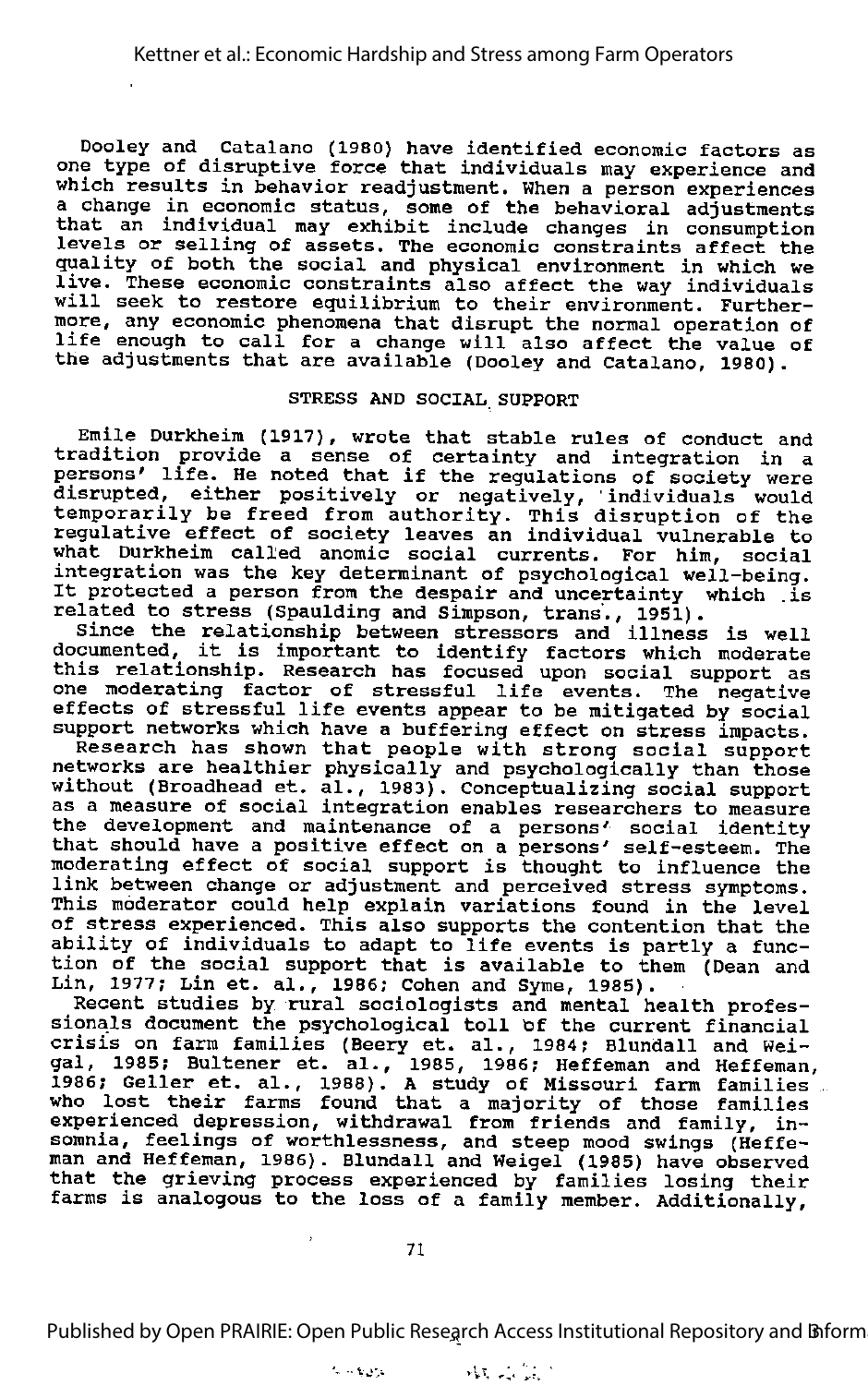Dooley and Catalano (1980) have identified economic factors as one type of disruptive force that individuals may experience and which results in behavior readjustment. When a person experiences a change in economic status, some of the behavioral adjustments that an individual may exhibit include changes in consumption levels or selling of assets. The economic constraints affect the quality of both the social and physical environment in which we live. These economic constraints also affect the way individuals<br>will seek to restore equilibrium to their environment. Furthermore, any economic phenomena that disrupt the normal operation of life enough to call for <sup>a</sup> change will also affect the value of the adjustments that are available (Dooley and Catalano, 1980).

### STRESS AND SOCIAL SUPPORT

Emile Durkheim (1917), wrote that stable rules of conduct and tradition provide a sense of certainty and integration in a persons' life. He noted that if the regulations of society were disrupted, either positively or negatively, individuals would temporarily be freed from authority. This disruption of the regulative effect of society leaves an individual vulnerable to what Durkheim called anomic social currents. For him, social integration was the key determinant of psychological well-being. It protected <sup>a</sup> person from the despair and uncertainty which .is related to stress (Spaulding and Simpson, trans., 1951).

Since the relationship between stressors and illness is well since the relationship between stressors and illness is well<br>documented, it is important to identify factors which moderate this relationship. Research has focused upon social support as one moderating factor of stressful life events. The negative one moderating factor of scressful life events. The hegative<br>effects of stressful life events appear to be mitigated by social sizes of beressial life events appear to be mitigated by social<br>support networks which have a buffering effect on stress impacts.

Research has shown that people with strong social support networks are healthier physically and psychologically than those without (Broadhead et. al., 1983). Conceptualizing social support as a measure of social integration enables researchers to measure the development and maintenance of a persons' social identity that should have a positive effect on a persons' self-esteem. The moderating effect of social support is thought to influence the link between change or adjustment and perceived stress symptoms. This moderator could help explain variations found in the level of stress experienced. This also supports the contention that the ability of individuals to adapt to life events is partly a function of the social support that is available to them (Dean and Lin, 1977; Lin et. al,, 1986; Cohen and Syme, 1985).

Recent studies by rural sociologists and mental health profes sionals document the psychological toll of the current financial crisis on farm families (Beery et. al., 1984; Blundall and Weicrisis on famm families (beery et. al., 1984; Biundail and Wei-<br>gal, 1985; Bultener et. al., 1985, 1986; Heffeman and Heffeman, yai, 1989, Buitener et. al., 1989, 1986; Meileman and Herfeman<br>1986; Geller et. al., 1988). A study of Missouri farm families 2000, SCIICI CL. di., 1980). A SCGdy Of Missouff farm families<br>who lost their farms found that a majority of those families experienced depression, withdrawal from friends and family, in somnia, feelings of worthlessness, and steep mood swings (Heffe-man and Heffeman, 1986). Blundall and Weigel (1985) have observed that the grieving process experienced by families losing their farms is analogous to the loss of a family member. Additionally,

Published by Open PRAIRIE: Open Public Research Access Institutional Repository and Biform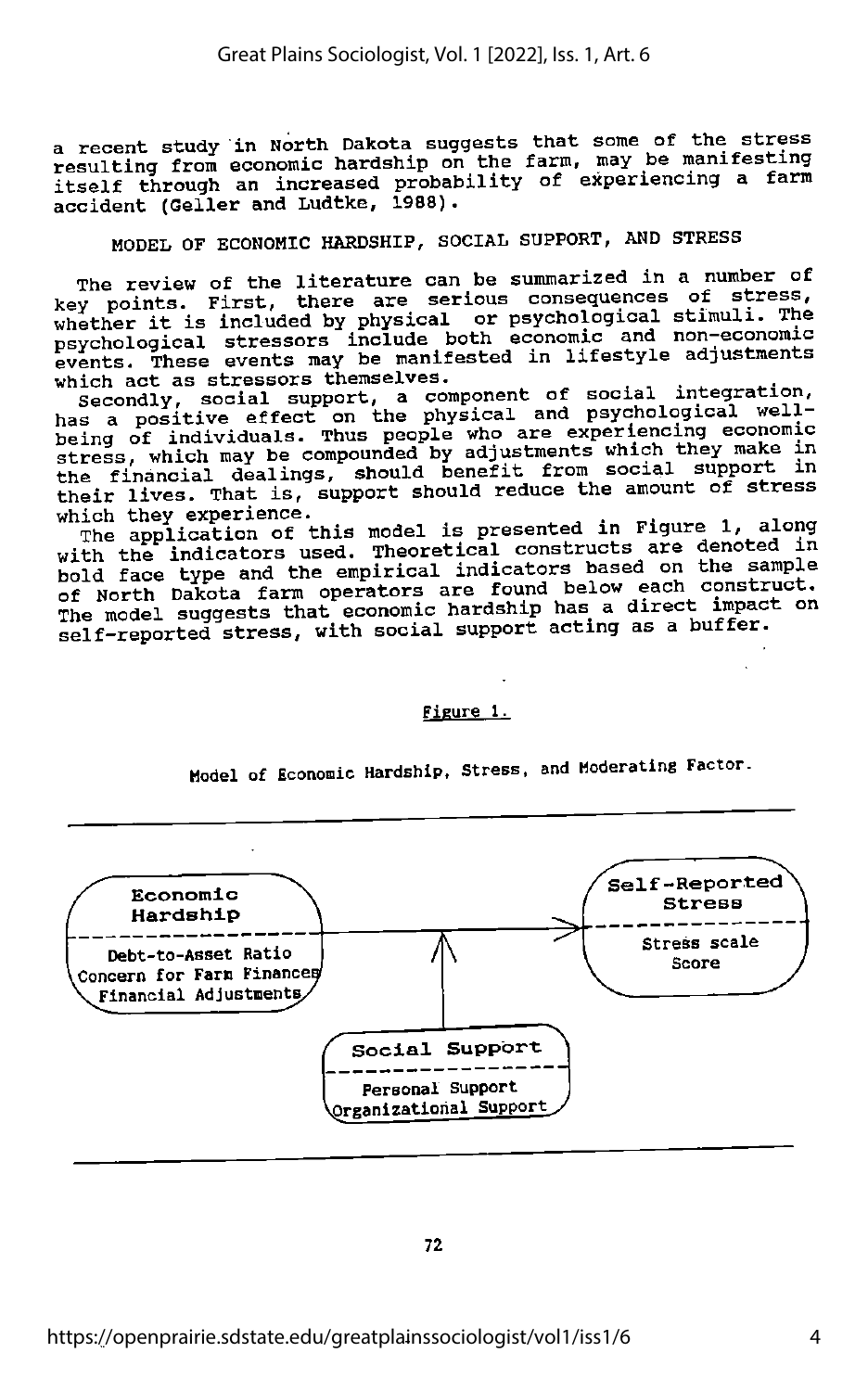a recent study in North Dakota suggests that some of the stress<br>resulting from economic hardship on the farm, may be manifesting itself through an increased probability of experiencing a farm accident (Geller and Ludtke, 1988).

### MODEL OF ECONOMIC HARDSHIP, SOCIAL SUPPORT, AND STRESS

The review of the literature can be summarized in a number of key points. First, there are serious consequences of stress, key points. First, there are serious consequences of stress,<br>whether it is included by physical or psychological stimuli. The<br>example is included by physical or psychological stimuli. The psychological stressors include both economic and non-economic events. These events may be manifested in lifestyle adjustments which act as stressors themselves.

Secondly, social support, a component of social integration, social support, a component of social integration, The of individuals. Thus people who are experiencing economic<br>being of individuals. Thus people who adjustments which they make in stress, which may be compounded by adjustments which they make in the financial dealings, should benefit from social support in their lives. That is, support should reduce the amount of stress<br>which they experience.

The application of this model is presented in Figure 1, along with the indicators used. Theoretical constructs are denoted in bold face type and the empirical indicators based on the sample of North Dakota farm operators are found below each construct.<br>The model suggests that economic hardship has a direct impact on self-reported stress, with social support acting as a buffer.

### Figure 1.

Model of Economic Hardship, Stress, and Moderating Factor.

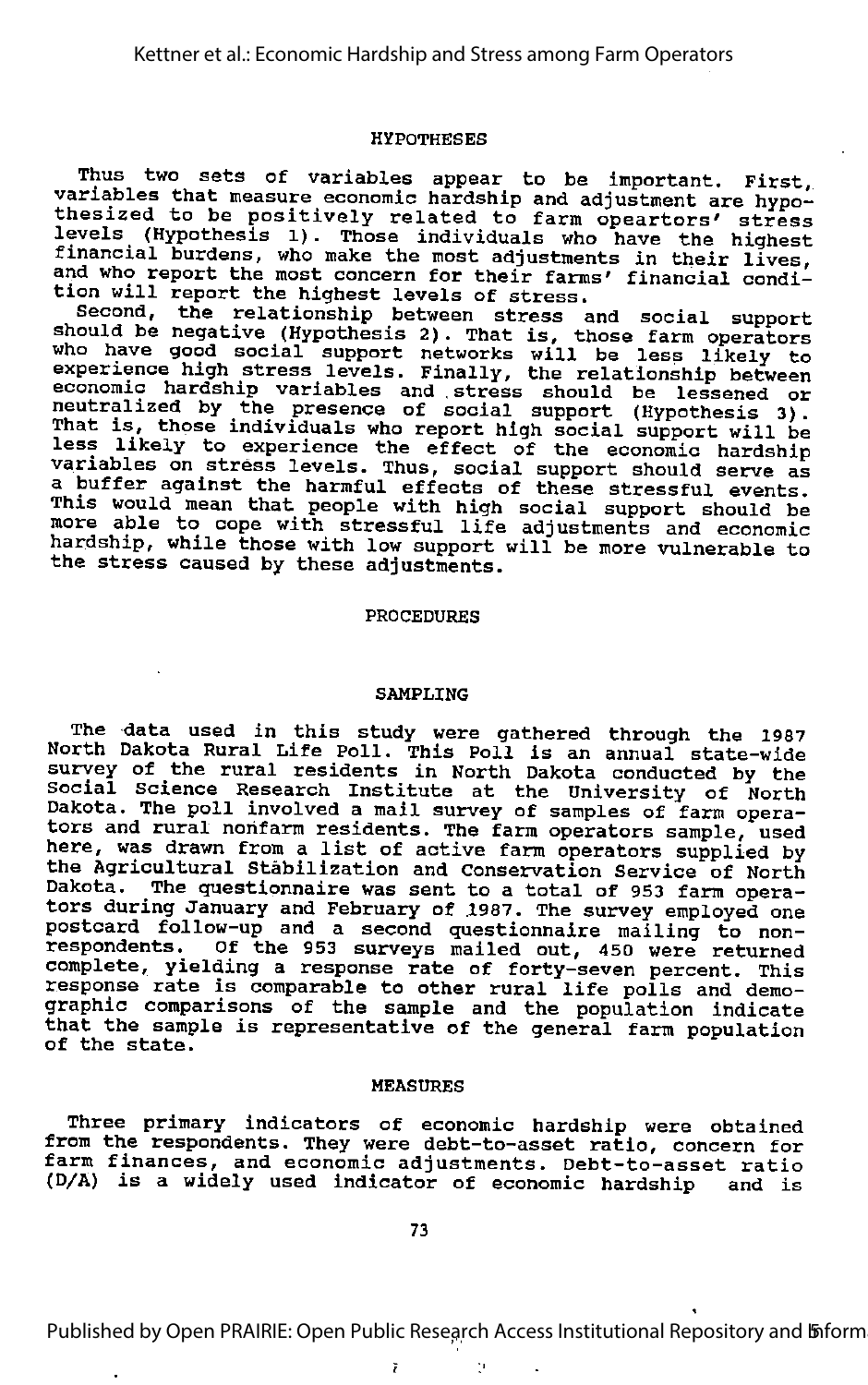#### HYPOTHESES

Thus two sets of variables appear to be important. First, variables that measure economic hardship and adjustment are hypo-<br>thesized to be positively related to farm opeartors' stress levels (Hypothesis 1). Those individuals who have the highest<br>financial burdens, who make the most adjustments in their lives, and who report the most concern for their farms' financial condi tion will report the highest levels of stress.

Second, the relationship between stress and social support should be negative (Hypothesis 2). That is, those farm operators who have good social support networks will be less likely to and have good social support networks will be less likely to<br>experience high stress levels. Finally, the relationship between economic hardship variables and stress should be lessened or neutralized by the presence of social support (Hypothesis 3). That is, those individuals who report high social support will be and 19) dhose individuals who report high social support will be<br>less likely to experience the effect of the economic hardship variables on stress levels. Thus, social support should serve as a buffer against the harmful effects of these stressful events. where against the harmiul errects of these stressful events.<br>This would mean that people with high social support should be<br>more able to cope with stressful life adjustments and economic hardship, while those with low support will be more vulnerable to the stress caused by these adjustments.

#### PROCEDURES

#### SAMPLING

The data used in this study were gathered through the 1987 North Dakota Rural Life Poll. This Poll is an annual state-wide survey of the rural residents in North Dakota conducted by the **State, of the film festurns in North Baxota conducted by the**<br>Social Science Research Institute at the University of North Dakota. The poll involved a mail survey of samples of farm opera tors and rural nonfarm residents. The farm operators sample, used here, was drawn from a list of active farm operators supplied by the Agricultural Stabilization and Conservation Service of North Dakota. The questionnaire was sent to a total of 953 farm opera tors during January and February of 1987. The survey employed one postoard follow-up and a second questionnaire mailing to nonrespondents. Of the 953 surveys mailed out, 450 were returned complete, yielding a response rate of forty-seven percent. This comprece, yieruing a response race or rorty-seven percent. Thi<br>response rate is comparable to other rural life polls and demo graphic comparisons of the sample and the population indicate that the sample is representative of the general farm population of the state.

#### MEASURES

Three primary indicators of economic hardship were obtained from the respondents. They were debt-to-asset ratio, concern for farm finances, and economic adjustments. Debt-to-asset ratio (D/A) is a widely used indicator of economic hardship and is

Published by Open PRAIRIE: Open Public Research Access Institutional Repository and *Inform* 

ĭ Ņ.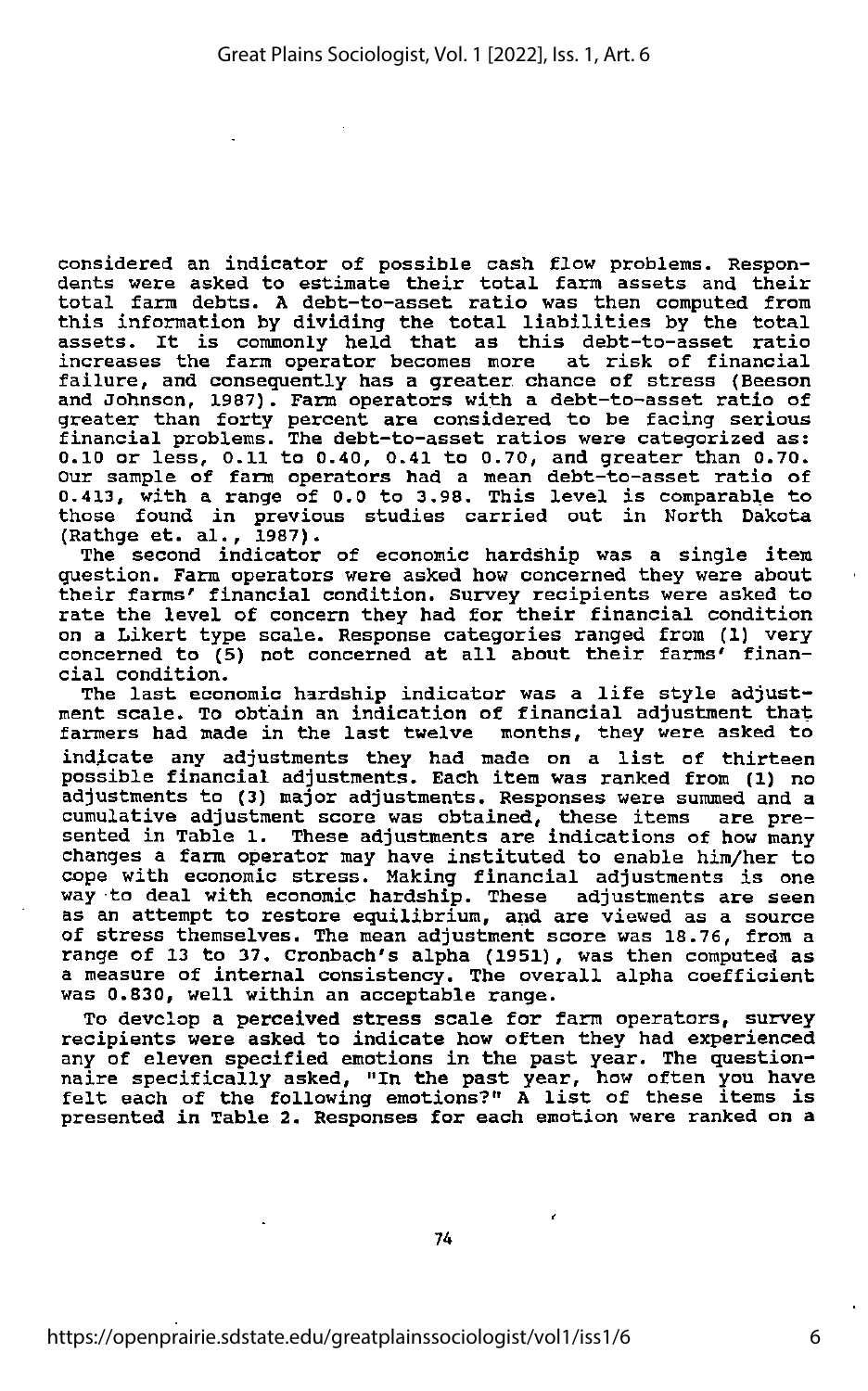considered an indicator of possible cash flow problems. Respon dents were asked to estimate their total farm assets and their total farm debts. <sup>A</sup> debt-to-asset ratio was then computed from this information by dividing the total liabilities by the total assets. It is commonly held that as this debt-to-asset ratio increases the farm operator becomes more at risk of financial failure, and consequently has <sup>a</sup> greater chance of stress (Beeson and Johnson, 1987). Farm operators with <sup>a</sup> debt-to-asset ratio of greater than forty percent are considered to be facing serious financial problems. The debt-to-asset ratios were categorized as: 0.10 or less, 0.11 to 0.40, 0.41 to 0.70, and greater than 0.70. Our sample of farm operators had <sup>a</sup> mean debt-to-asset ratio of 0.413, with <sup>a</sup> range of 0.0 to 3.98. This level is comparable to those found in previous studies carried out in North Dakota (Rathge et. al., 1987).

The second indicator of economic hardship was a single item question. Farm operators were asked how concerned they were about their farms' financial condition, survey recipients were asked to rate the level of concern they had for their financial condition on a Likert type scale. Response categories ranged from (1) very concerned to (5) not concerned at all about their farms' finan cial condition.

The last economic hardship indicator was <sup>a</sup> life style adjust ment scale. To obtain an indication of financial adjustment that farmers had made in the last twelve months, they were asked to indicate any adjustments they had made on <sup>a</sup> list of thirteen possible financial adjustments. Each item was ranked from (1) no adjustments to (3) major adjustments. Responses were summed and a cumulative adjustment score was obtained, these items are pre sented in Table 1. These adjustments are indications of how many changes <sup>a</sup> farm operator may have instituted to enable him/her to cope with economic stress. Making financial adjustments is one way to deal with economic hardship. These adjustments are seen as an attempt to restore equilibrium, and are viewed as <sup>a</sup> source of stress themselves. The mean adjustment score was 18.76, from <sup>a</sup> range of 13 to 37, Cronbach's alpha (1951), was then computed as <sup>a</sup> measure of internal consistency. The overall alpha coefficient was 0.830, well within an acceptable range.

To develop <sup>a</sup> perceived stress scale for farm operators, survey recipients were asked to indicate how often they had experienced any of eleven specified emotions in the past year. The questionnaire specifically asked, "In the past year, how often you have felt each of the following emotions?" <sup>A</sup> list of these items is presented in Table 2. Responses for each emotion were ranked on <sup>a</sup>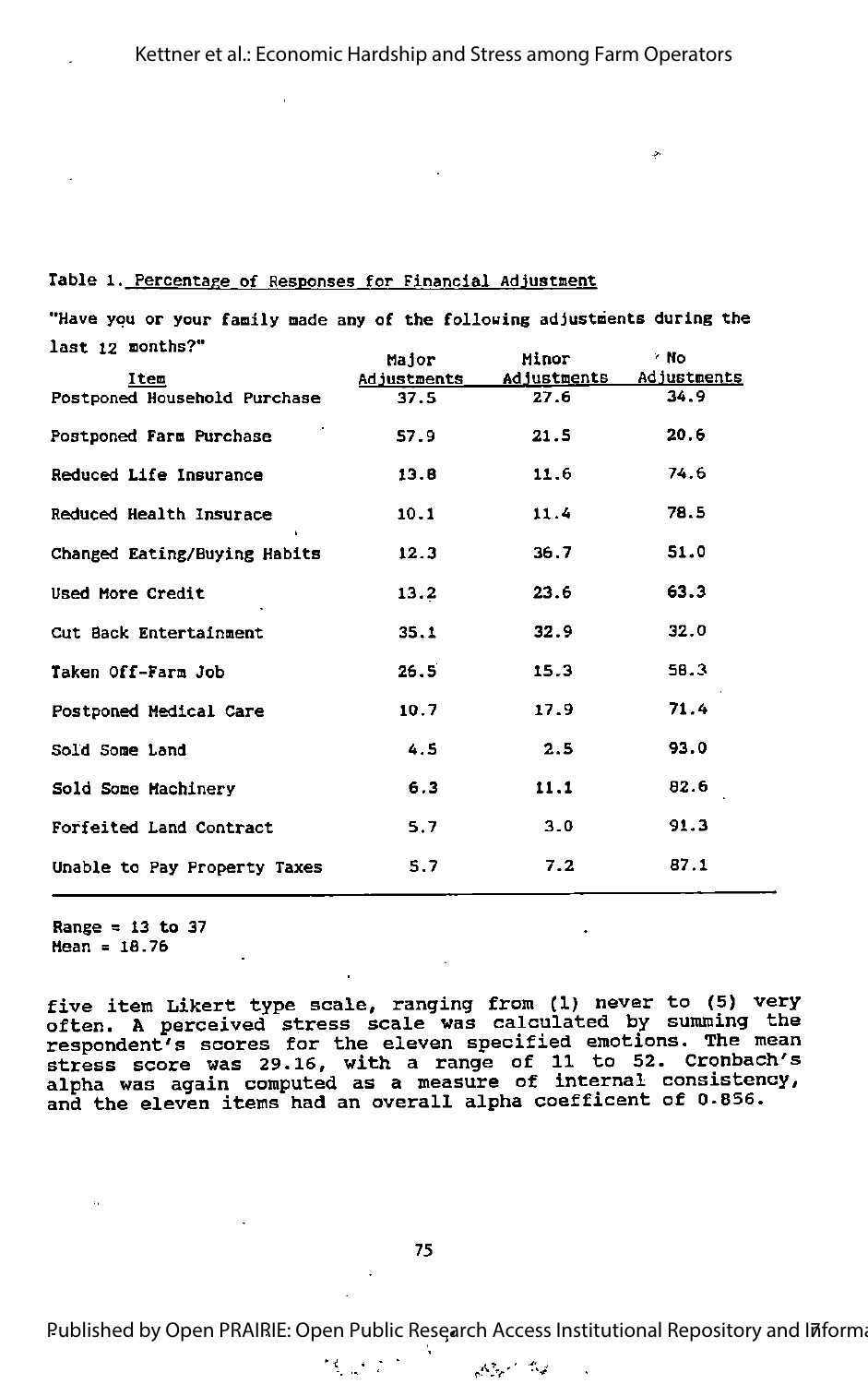### Table l. Percentage of Responses for Financial Adjustment

"Have you or your family made any of the following adjustments during the last 12 months?" Major Minor No

|                              | Major       | Minor       | ' NO        |
|------------------------------|-------------|-------------|-------------|
| Item                         | Adjustments | Adjustments | Adjustments |
| Postponed Household Purchase | 37.5        | 27.6        | 34.9        |
| Postponed Farm Purchase      | 57.9        | 21.5        | 20.6        |
| Reduced Life Insurance       | 13.6        | 11.6        | 74.6        |
| Reduced Health Insurace      | 10.1        | 11.4        | 78.5        |
| Changed Eating/Buying Habits | 12.3        | 36.7        | 51.0        |
| Used More Credit             | 13.2        | 23.6        | 63.3        |
| Cut Back Entertainment       | 35.1        | 32.9        | 32.0        |
| Taken Off-Farm Job           | 26.5        | 15.3        | 58.3        |
| Postponed Medical Care       | 10.7        | 17.9        | 71.4        |
| Sold Some Land               | 4.5         | 2.5         | 93.0        |
| Sold Some Machinery          | 6.3         | 11.1        | 82.6        |
| Forfeited Land Contract      | 5.7         | 3.0         | 91.3        |
| Unable to Pay Property Taxes | 5.7         | 7.2         | 87.1        |

Range =  $13$  to 37 Mean <sup>=</sup> 16.76

 $\sim$ 

five item Likert type scale, ranging from (1) never to (5) very often. A perceived stress scale was calculated by summing the respondent's scores for the eleven specified emotions. The mean stress score was 29.16, with a range of 11 to 52. Cronbach's alpha was again computed as a measure of internal consistency, and the eleven items had an overall alpha coefficent of 0.856.

线盘的

Published by Open PRAIRIE: Open Public Research Access Institutional Repository and Informa

 $\mathcal{M}_{\text{eff}} \simeq 2 \mathcal{M}_{\text{eff}}$ 

l,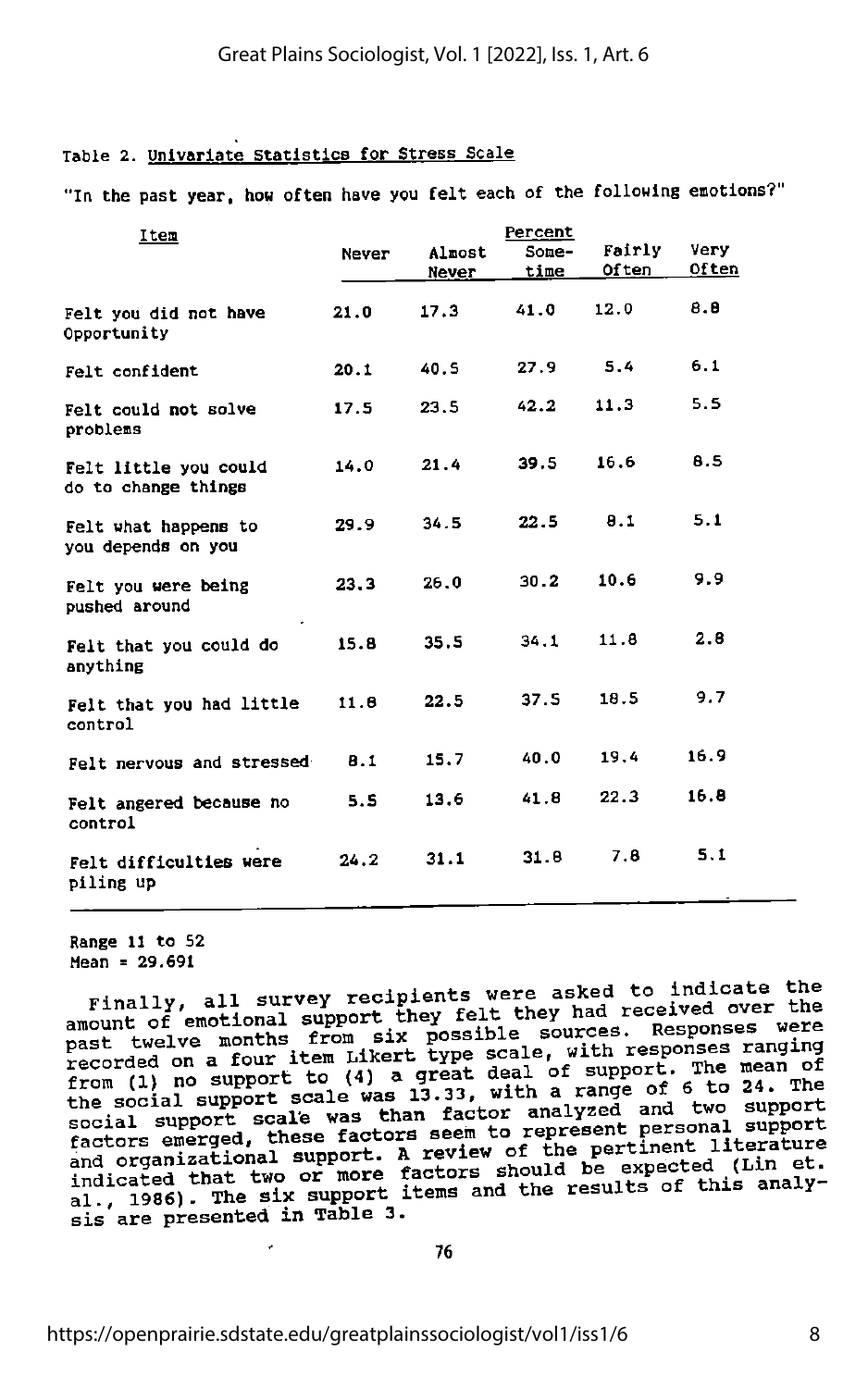### Table 2. Univariate Statistics for Stress Scale

"In the past year, how often have you felt each of the following emotions?

| Item                                         | <b>Never</b> | Almost<br>Never | Percent<br>Some-<br>time | Fairly<br>Often | Very<br>Often |
|----------------------------------------------|--------------|-----------------|--------------------------|-----------------|---------------|
| Felt you did not have<br>Opportunity         | 21.0         | 17.3            | 41.0                     | 12.0            | 8.8           |
| Felt confident                               | 20.1         | 40.S            | 27.9                     | 5.4             | 6.1           |
| Felt could not solve<br>problems             | 17.5         | 23.5            | 42.2                     | 11.3            | 5.5           |
| Felt little you could<br>do to change things | 14.0         | 21.4            | 39.5                     | 16.6            | 8.5           |
| Felt what happens to<br>you depends on you   | 29.9         | 34.5            | 22.5                     | 8.1             | 5.1           |
| Felt you were being<br>pushed around         | 23.3         | 26.0            | 30.2                     | 10.6            | 9.9           |
| Felt that you could do<br>anything           | 15.8         | 35.5            | 34.1                     | 11.8            | 2.8           |
| Felt that you had little<br>control          | 11.6         | 22.5            | 37.5                     | 18.5            | 9.7           |
| Felt nervous and stressed                    | B.1          | 15.7            | 40.0                     | 19.4            | 16.9          |
| Felt angered because no<br>control           | 5.5          | 13.6            | 41.8                     | 22.3            | 16.8          |
| Felt difficulties were<br>piling up          | 24.2         | 31.1            | 31.8                     | 7.8             | 5.1           |
|                                              |              |                 |                          |                 |               |

Range 11 to 52

Mean = 29.691<br>Finally, all survey recipients were asked to indicate the amount of emotional support they felt they had received over the<br>past twelve months from six possible sources. Responses were<br>recorded on a four item Likert type scale, with responses ranging<br>from (1) no support to (4) a g social support scale was than factor analyzed and two support<br>factors emerged, these factors seem to represent personal support<br>discusses in the support. A review of the pertinent literature factors emerged, these factors seem to represent portional literature<br>and organizational support. A review of the pertinent literature indicated that two or more factors should be expected (Lin et.<br>al., 1986). The six support items and the results of this analy-<br>sis are presented in Table 3.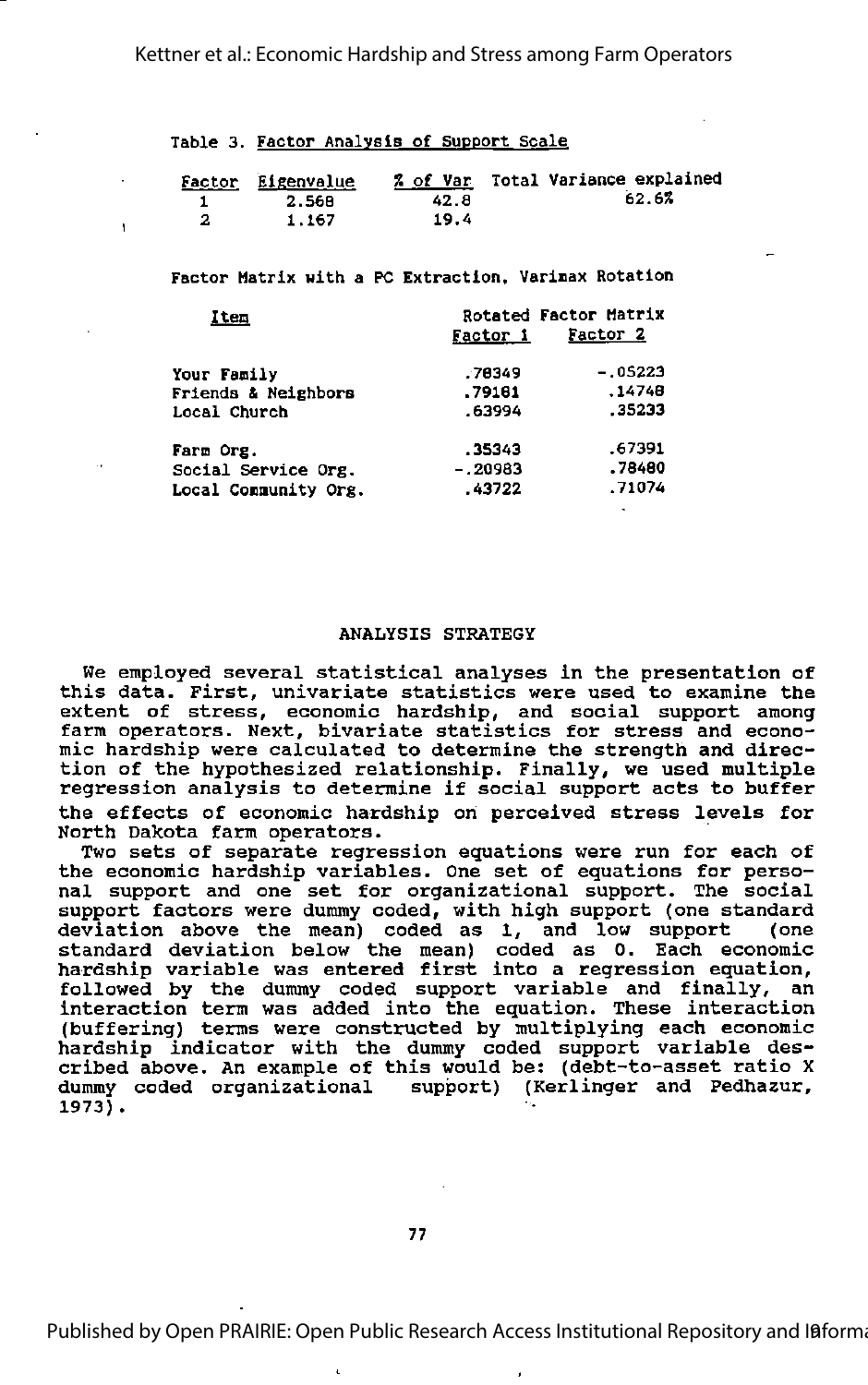Kettner et al.: Economic Hardship and Stress among Farm Operators

Table 3. Factor Analysis of Support Scale

| Factor Eigenvalue |      | % of Var Total Variance explained |
|-------------------|------|-----------------------------------|
| 2.568             | 42.8 | 62.6%                             |
| 1.167             | 19.4 |                                   |

Factor Matrix with a PC Extraction, Varinax Rotation

| Item                           | Factor 1  | Rotated Factor Matrix<br>Factor 2 |
|--------------------------------|-----------|-----------------------------------|
| Your Family                    | .78349    | $-.05223$                         |
| <b>Friends &amp; Neighbors</b> | .79181    | .14748                            |
| Local Church                   | .63994    | .35233                            |
| Farm Org.                      | .35343    | .67391                            |
| Social Service Org.            | $-.20983$ | .78480                            |
| Local Community Org.           | .43722    | .71074                            |

### ANALYSIS STRATEGY

We employed several statistical analyses in the presentation of this data. First, univariate statistics were used to examine the extent of stress, economic hardship, and social support among farm operators. Next, bivariate statistics for stress and econo mic hardship were calculated to determine the strength and direc tion of the hypothesized relationship. Finally, we used multiple regression analysis to determine if social support acts to buffer the effects of economic hardship on perceived stress levels for North Dakota farm operators.

Two sets of separate regression equations were run for each of the economic hardship variables. One set of equations for perso nal support and one set for organizational support. The social support factors were dummy coded, with high support (one standard deviation above the mean) coded as 1, and low support (one standard deviation below the mean) coded as 0. Each economic hardship variable was entered first into <sup>a</sup> regression equation, followed by the dummy coded support variable and finally, an interaction term was added into the equation. These interaction (buffering) terms were constructed by multiplying each economic hardship indicator with the dummy coded support variable des cribed above. An example of this would be: (debt-to-asset ratio X<br>dummy coded organizational support) (Kerlinger and Pedhazur, support) (Kerlinger and Pedhazur, 1973).

i.

Published by Open PRAIRIE: Open Public Research Access Institutional Repository and Ifforma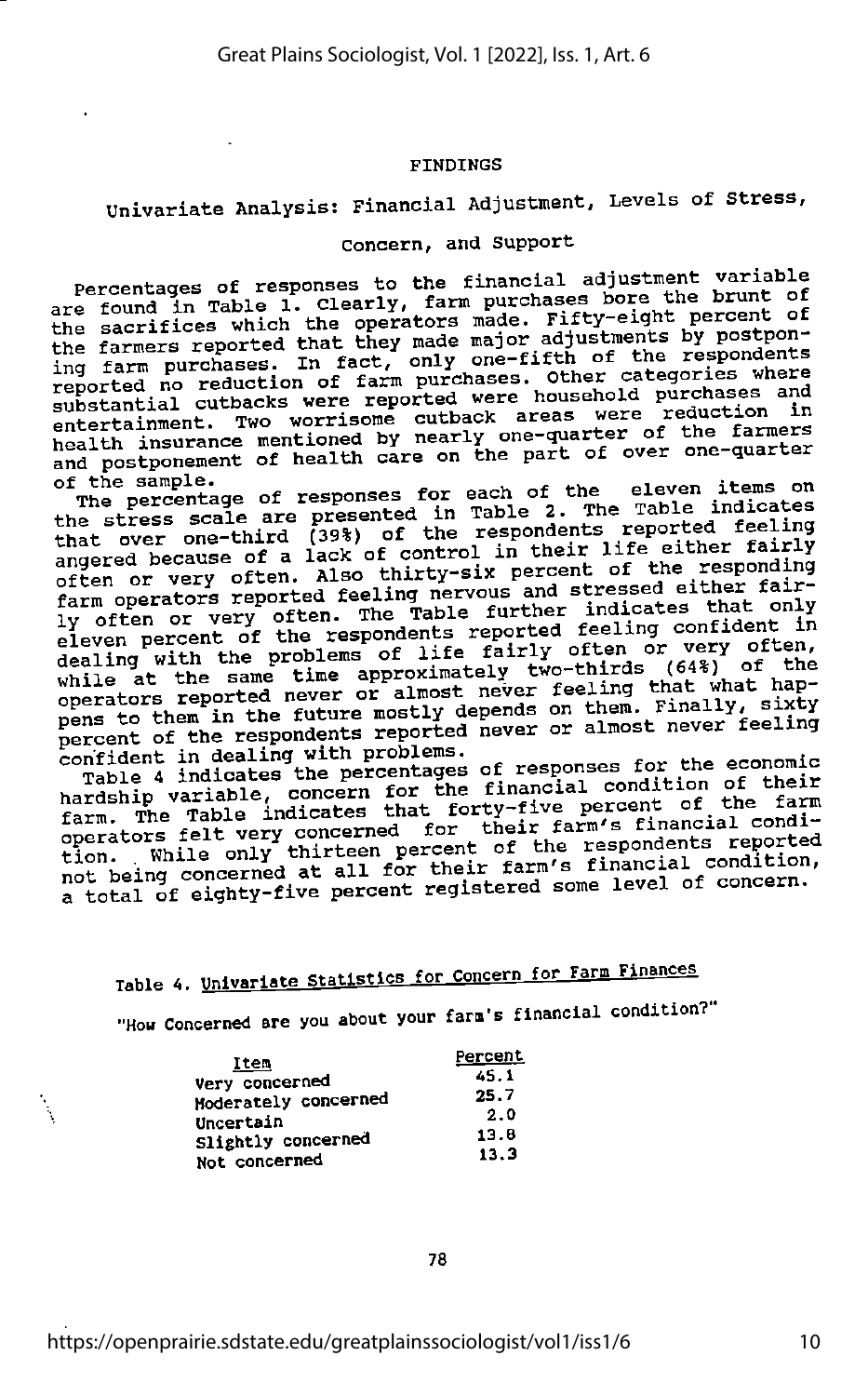### FINDINGS

## Univariate Analysis: Financial Adjustment, Levels of Stress,

### Concern, and Support

Percentages of responses to the financial adjustment variable are found in Table 1. Clearly, farm purchases bore the brunt of the sacrifices which the operators made. Fifty-eight percent of<br>the sacrifices which they made major adjustments by postponthe farmers reported that they made major adjustments by postpon-<br>ing farm purchases. In fact, only one-fifth of the respondents<br>reported no reduction of farm purchases. Other categories where substantial cutbacks were reported were household purchases and entertainment. Two worrisome cutback areas were reduction in health insurance mentioned by nearly one-quarter of the farmers<br>and postponement of health care on the part of over one-quarter

The percentage of responses for each of the eleven items on<br>the stress scale are presented in Table 2. The Table indicates<br>that over one-third (39%) of the respondents reported feeling that over one-third (39%) of the respondents reported leeling<br>angered because of a lack of control in their life either fairly<br>often or very often. Also thirty-six percent of the responding<br>farm operators reported feeling dealing with the problems of life fairly often or very often,<br>while at the same time approximately two-thirds (64%) of the next as the basic part of almost never feeling that what hap-<br>pens to them in the future mostly depends on them. Finally, sixty percent of the respondents reported never or almost never feeling<br>confident in dealing with problems. If we almost few the economic

Table 4 indicates the percentages of responses for the economic<br>hardship variable, concern for the financial condition of their<br>farm. The Table indicates that forty-five percent of the farm farm. The Table indicates that forty-five percent of the range<br>operators felt very concerned for their farm's financial condi-<br>percent of the respondents reported operators felt very concerned for their farm's illustrate reported<br>tion. While only thirteen percent of the respondents reported<br>not being concerned at all for their farm's financial condition,<br>not being concerned at all f not being concerned at all for their falm s financial concern.<br>a total of eighty-five percent registered some level of concern.

## Table 4. Univariate Statistics for Concern for Farm Finances

"How Concerned are you about your farm's financial condition?"

| Item                 | <b>Percent</b> |
|----------------------|----------------|
| Very concerned       | 45.1           |
| Moderately concerned | 25.7           |
| Uncertain            | 2.0            |
| Slightly concerned   | 13.8           |
|                      | 13.3           |
| Not concerned        |                |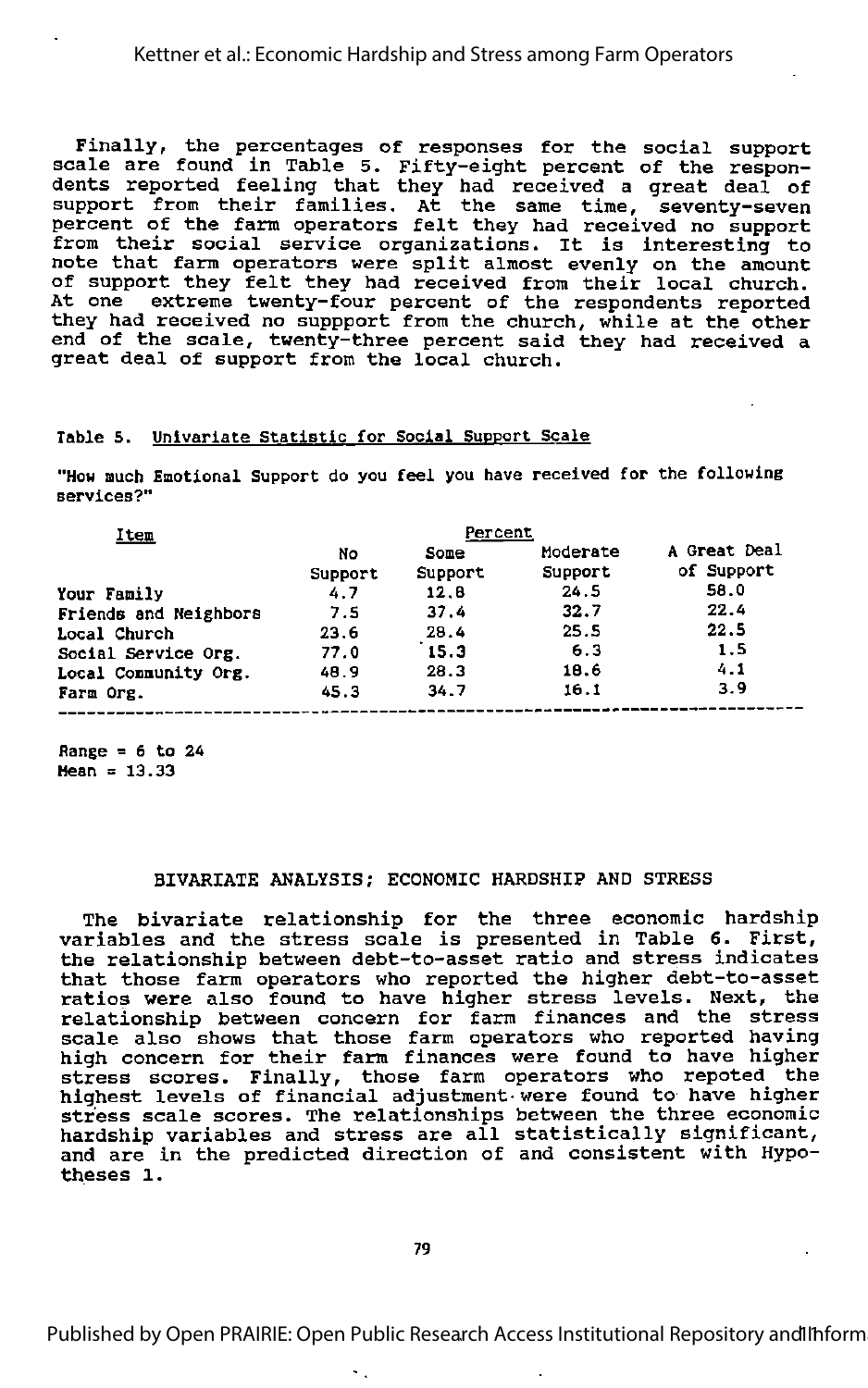Finally, the percentages of responses for the social support scale are found in Table 5. Fifty-eight percent of the respon dents reported feeling that they had received a great deal of support from their families. At the same time, seventy-seven percent of the farm operators felt they had received no support from their social service organizations. It is interesting to note that farm operators were split almost evenly on the amount of support they felt they had received from their local church. At one extreme twenty-four percent of the respondents reported they had received no suppport from the church, while at the other end of the scale, twenty-three percent said they had received <sup>a</sup> great deal of support from the local church.

### Table 5. Univariate Statistic for Social Support Scale

"How Buch Emotional Support do you feel you have received for the following services?"

| Percent |         |          |              |
|---------|---------|----------|--------------|
| No      | Some    | Moderate | A Great Deal |
| Support | Support | Support  | of Support   |
| 4.7     | 12.8    | 24.5     | 58.0         |
| 7.5     | 37.4    | 32.7     | 22.4         |
| 23.6    | 28.4    | 25.5     | 22.5         |
| 77.0    | 15.3    | 6.3      | 1.5          |
| 48.9    | 28.3    | 18.6     | 4.1          |
| 45.3    | 34.7    | 16.1     | 3.9          |
|         |         |          |              |

Range =  $6$  to 24 Hean =  $13.33$ 

### BIVARIATE ANALYSIS; ECONOMIC HARDSHIP AND STRESS

The bivariate relationship for the three economic hardship variables and the stress scale is presented in Table 6. First, the relationship between debt-to-asset ratio and stress indicates that those farm operators who reported the higher debt-to-asset ratios were also found to have higher stress levels. Next, the relationship between concern for farm finances and the stress scale also shows that those farm operators who reported having high concern for their farm finances were found to have higher stress scores. Finally, those farm operators who repoted the highest levels of financial adjustment-were found to have higher stress scale scores. The relationships between the three economic hardship variables and stress are all statistically significant, and are in the predicted direction of and consistent with Hypo-<br>theses 1.

٠.

Published by Open PRAIRIE: Open Public Research Access Institutional Repository and Inform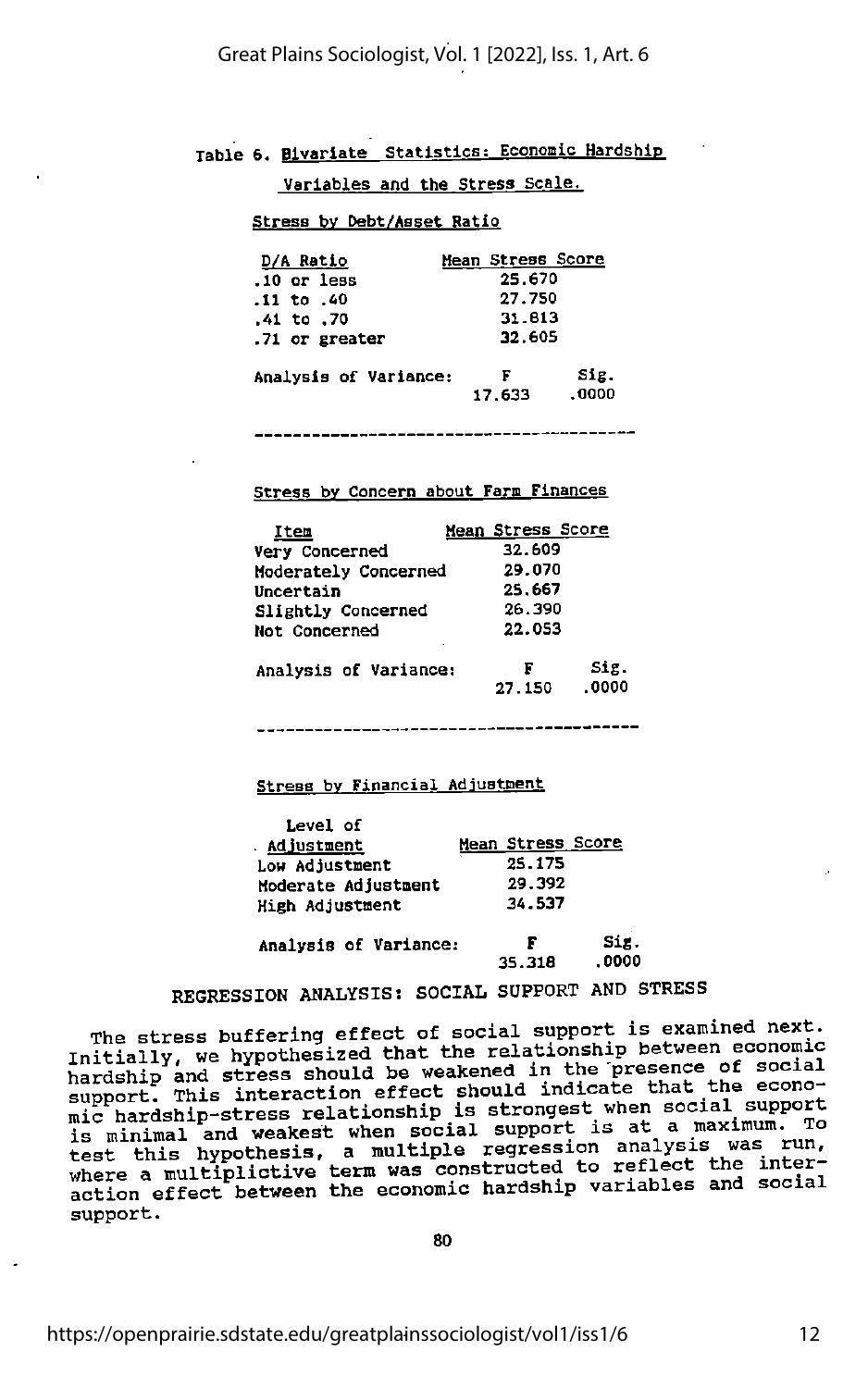Table 6. Blvarlate Statistics; Economic Hardship

Variables and the Stress Scale.

### Stress bv Debt/Aaset Ratio

| D/A Ratio             | Mean Stress Score            |
|-----------------------|------------------------------|
| $.10$ or less         | 25.670                       |
| .11 to .40            | 27.750                       |
| .41 to .70            | 31.813                       |
| .71 or greater        | 32.605                       |
| Analysis of Variance: | Sig.<br>F<br>.0000<br>17.633 |

### Stress by Concern about Farm Finances

| Item                  | Mean Stress Score            |
|-----------------------|------------------------------|
| Very Concerned        | 32.609                       |
| Moderately Concerned  | 29.070                       |
| Uncertain             | 25.667                       |
| Slightly Concerned    | 26.390                       |
| Not Concerned         | 22.053<br>٠                  |
| Analysis of Variance: | Sig.<br>F<br>.0000<br>27.150 |

Stress by Financial Adjustment

| Level of              |                   |
|-----------------------|-------------------|
| . Adjustment          | Mean Stress Score |
| Low Adjustment        | 25.175            |
| Moderate Adjustment   | 29.392            |
| High Adjustment       | 34.537            |
| Analysis of Variance: | Sig.<br>F         |
|                       | . 0000<br>35.318  |

### REGRESSION ANALYSIS: SOCIAL SUPPORT AND STRESS

The stress buffering effect of social support is examined next. Initially, we hypothesized that the relationship between economic hardship and stress should be weakened in the presence of social support. This interaction effect should indicate that the econosupport. This interaction effect should indicate that mic hardship-stress relationship is strongest when social support is minimal and weakest when social support is at <sup>a</sup> maximum. To test this hypothesis, a multiple regression analysis was run,<br>test this hypothesis, a multiple regression analysis was run, where a multiplictive term was constructed to reflect the inter<br>where a multiplictive term was constructed to reflect the inter action effect between the economic hardship variables and social support.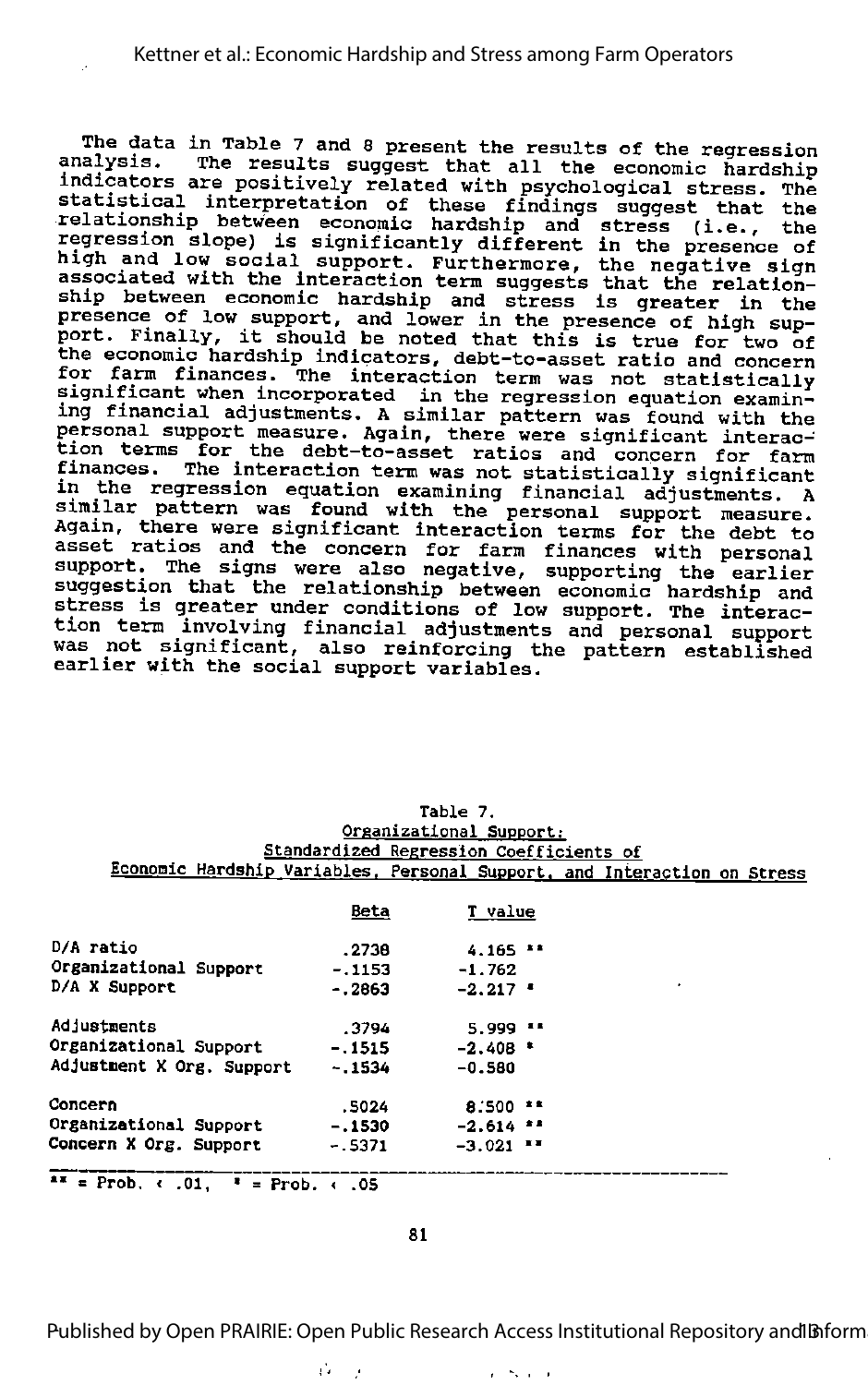The data in Table 7 and 8 present the results of the regression analysis. The results suggest that all the economic hardship indicators are positively related with psychological stress. The statistical interpretation of these findings suggest that the relationship between economic hardship and stress (i.e., the regression slope) is significantly different in the presence of high and low social support. Furthermore, the negative sign associated with the interaction term suggests that the relation ship between economic hardship and stress is greater in the First section continuo initially and stress is greater in the<br>presence of low support, and lower in the presence of high sup-<br>port. Finally, it should be noted that this is true for two of portof finally, it should be hoted that this is true for two of<br>the economic hardship indicators, debt-to-asset ratio and concern for farm finances. The interaction term was not statistically<br>for farm finances. The interaction term was not statistically<br>significant when incorporated in the regression equation examining financial adjustments. A similar pattern was found with the ang remancedt dajdstments. A similal pattern was found with th<br>personal support measure. Again, there were significant interac tion terms for the debt-to-asset ratios and concern for farm finances. The interaction term was not statistically significant in the regression equation examining financial adjustments. <sup>A</sup> similar pattern was found with the personal support measure. Again, there were significant interaction terms for the debt to asset ratios and the concern for farm finances with personal support. The signs were also negative, supporting the earlier suggestion that the relationship between economic hardship and stress is greater under conditions of low support. The interac tion term involving financial adjustments and personal support was not significant, also reinforcing the pattern established earlier with the social support variables.

|                                                                          |             | vigunio civilli puppol t.               |  |
|--------------------------------------------------------------------------|-------------|-----------------------------------------|--|
|                                                                          |             | Standardized Regression Coefficients of |  |
| Economic Hardship Variables, Personal Support, and Interaction on Stress |             |                                         |  |
|                                                                          |             |                                         |  |
|                                                                          | <u>Beta</u> | <b>T</b> value                          |  |
| D/A ratio                                                                | . 2736      | $4.165$ $14$                            |  |
| Organizational Support                                                   | - 1153      | -1.762                                  |  |
| D/A X Support                                                            | - 2863      | $-2.217$ $-$                            |  |
| Adjustments                                                              | .3794       | $5.999$ $11$                            |  |
| Organizational Support                                                   | $-1515$     | $-2.408$ *                              |  |
| Adjustment X Org. Support -.1534                                         |             | $-0.580$                                |  |
| Concern                                                                  | . 5024      | $8.500$ $1.5$                           |  |
| Organizational Support                                                   | - 1530      | $-2.614$ $-2$                           |  |
| Concern X Org. Support                                                   | $-5371$     | $-3.021$ $-7$                           |  |
| $**$ = Prob. $\leftarrow .01$ , $*$ = Prob. $\leftarrow .05$             |             |                                         |  |

Table 7. Organizational Support;

81

Published by Open PRAIRIE: Open Public Research Access Institutional Repository and Inform

 $1 - 2 - 1 = 1$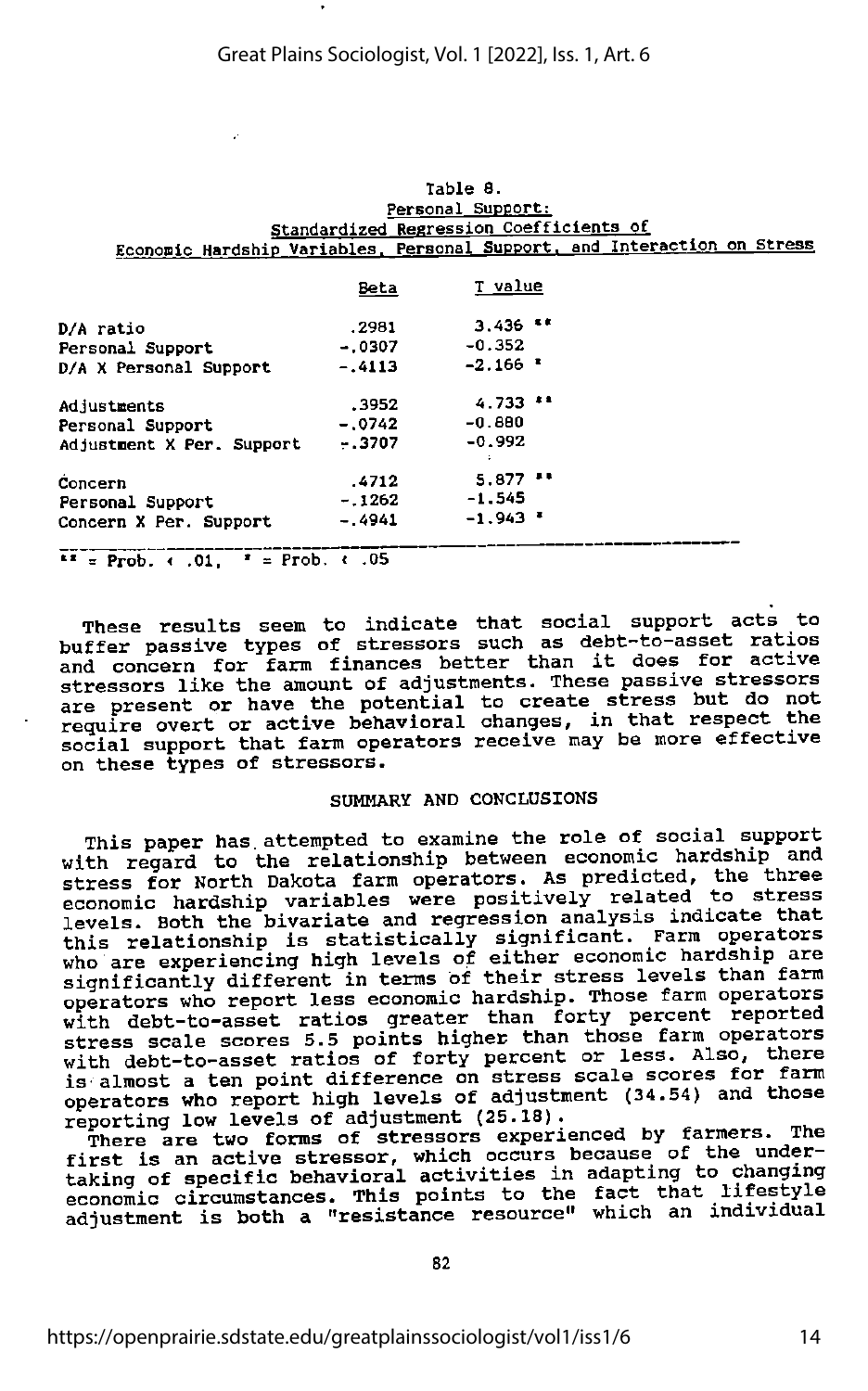### Table 8. Personal Support; Standardized Regression Coefficients of Econonic Hardship Variables. Personal Support, and Interaction on Stress

|                           | <b>Beta</b> | T value          |  |
|---------------------------|-------------|------------------|--|
| D/A ratio                 | .2981       | $3,436$ **       |  |
| <b>Personal Support</b>   | $-.0307$    | $-0.352$         |  |
| D/A X Personal Support    | $-.4113$    | $-2.166$ $\cdot$ |  |
| Adjustments               | .3952       | $4.733$ $11$     |  |
| Personal Support          | $-.0742$    | $-0.880$         |  |
| Adjustment X Per. Support | $-.3707$    | $-0.992$         |  |
| Concern                   | .4712       | 5.877            |  |
| <b>Personal Support</b>   | $-.1262$    | $-1.545$         |  |
| Concern X Per. Support    | $-.4941$    | $-1.943$         |  |
|                           |             |                  |  |

 $T = Prob.$  (.01,  $T = Prob.$  (.05)

These results seem to indicate that social support acts to buffer passive types of stressors such as debt-to-asset ratios and concern for farm finances better than it does for active stressors like the amount of adjustments. These passive stressors are present or have the potential to create stress but do not require overt or active behavioral changes, in that respect the social support that farm operators receive may be more effective on these types of stressors.

### SUMMARY AND CONCLUSIONS

This paper has.attempted to examine the role of social support with regard to the relationship between economic hardship and stress for North Dakota farm operators. As predicted, the three economic hardship variables were positively related to stress levels. Both the bivariate and regression analysis indicate that this relationship is statistically significant. Farm operators who are experiencing high levels of either economic hardship are significantly different in terms of their stress levels than farm operators who report less economic hardship. Those farm operators with debt-to-asset ratios greater than forty percent reported stress scale scores 5.5 points higher than those farm operators with debt-to-asset ratios of forty percent or less. Also, there is almost a ten point difference on stress scale scores for farm operators who report high levels of adjustment (34.54) and those reporting low levels of adjustment (25.18).

There are two forms of stressors experienced by farmers. The<br>first is an active stressor, which occurs because of the undertaking of specific behavioral activities in adapting to changing economic circumstances. This points to the fact that lifestyle adjustment is both a "resistance resource" which an individual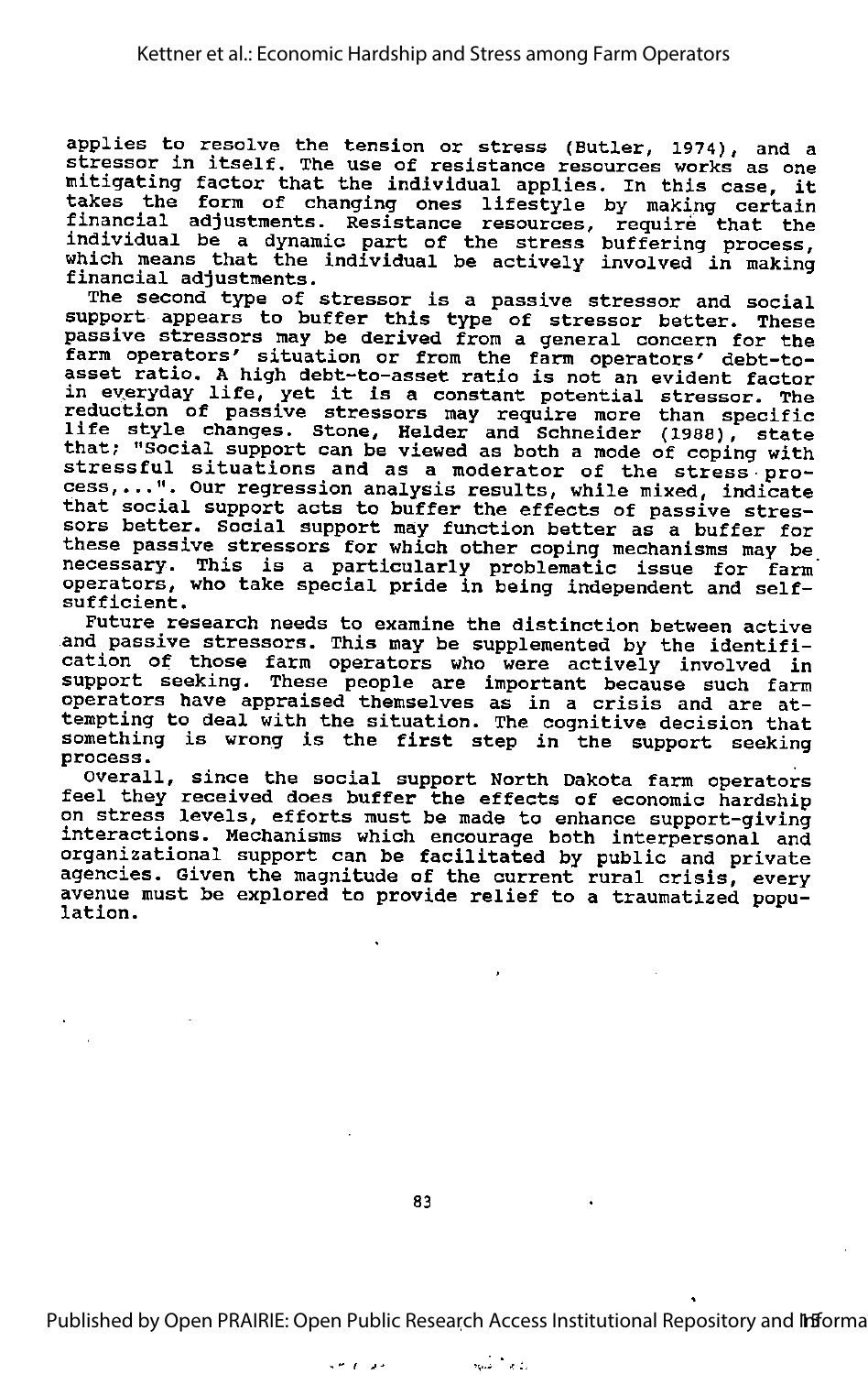applies to resolve the tension or stress (Butler, 1974), and a stressor in itself. The use of resistance resources works as one mitigating factor that the individual applies. In this case, it along the form of changing ones lifestyle by making certain financial adjustments. Resistance resources, require that the individual be a dynamic part of the stress buffering process, which means that the individual be actively involved in making financial adjustments.

The second type of stressor is <sup>a</sup> passive stressor and social support appears to buffer this type of stressor better. These passive stressors may be derived from a general concern for the farm operators' situation or from the farm operators' debt-toasset ratio. <sup>A</sup> high debt-to-asset ratio is not an evident factor in eyeryday life, yet it is <sup>a</sup> constant potential stressor. The reduction of passive stressors may require more than specific<br>reduction of passive stressors may require more than specific<br>life style changes. Stone, Helder and Schneider (1988), state that; "Social support can be viewed as both a mode of coping with stressful situations and as a moderator of the stress•pro stressful situations and as a moderator of the stress pro-<br>cess,...". Our regression analysis results, while mixed, indicate that social support acts to buffer the effects of passive stres-<br>sors better. Social support may function better as a buffer for these passive stressors for which other coping mechanisms may be necessary. This is <sup>a</sup> particularly problematic issue for farm' operators, who take special pride in being independent and selfsufficient.

Future research needs to examine the distinction between active and passive stressors. This may be supplemented by the identifi cation of those farm operators who were actively involved in support seeking. These people are important because such farm operators have appraised themselves as in <sup>a</sup> crisis and are at tempting to deal with the situation. The cognitive decision that something is wrong is the first step in the support seeking process.

overall, since the social support North Dakota farm operators feel they received does buffer the effects of economic hardship The control with the effects of economic markship<br>on stress levels, efforts must be made to enhance support-giving interactions. Mechanisms which encourage both interpersonal and organizational support can be facilitated by public and private agencies. Given the magnitude of the current rural crisis, every avenue must be explored to provide relief to a traumatized population.

83

Published by Open PRAIRIE: Open Public Research Access Institutional Repository and Informa

ر<br>د مان ميليان an pous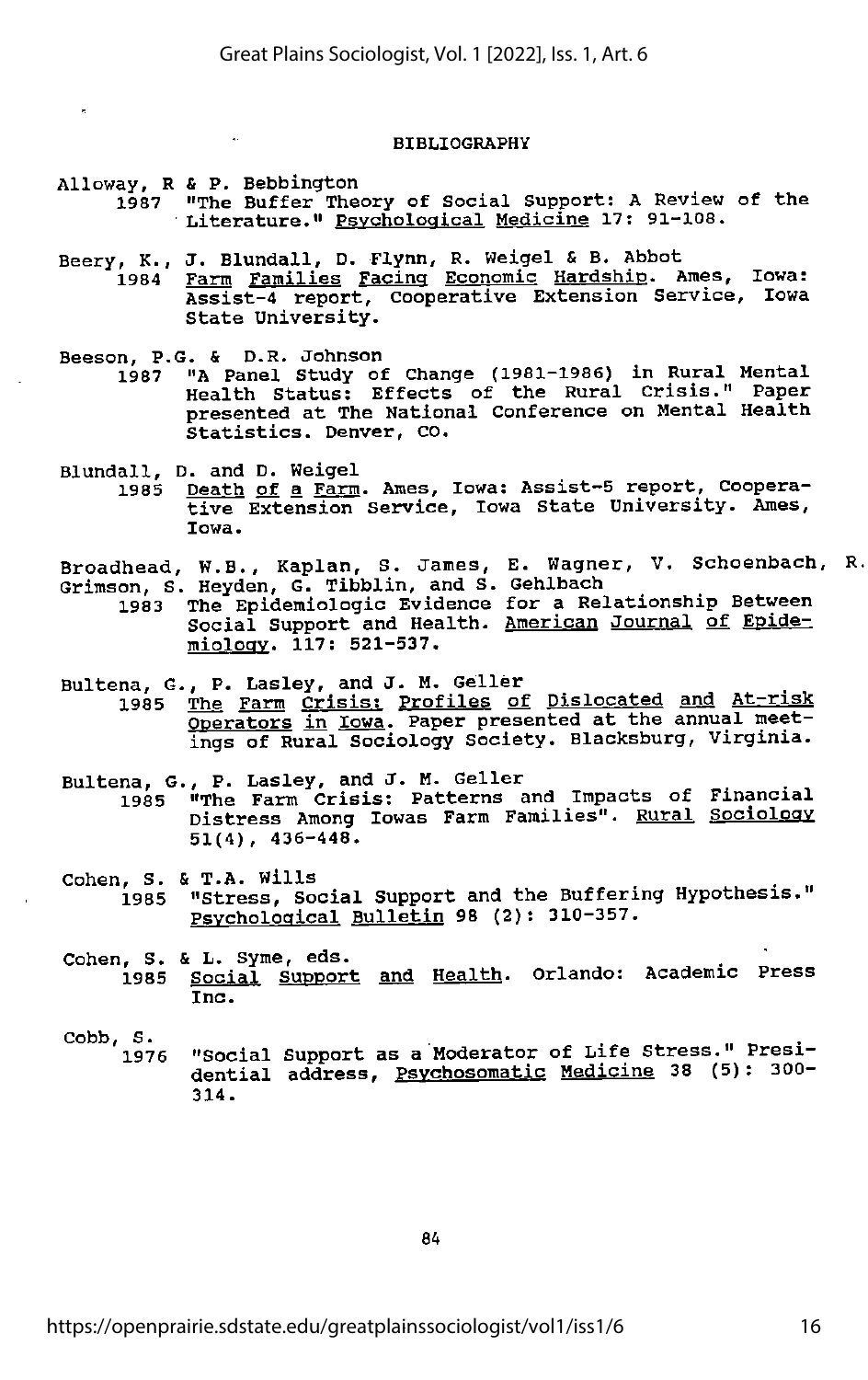#### BIBLIOGRAPHY

- Alloway, R & P. Bebbington
	- 1987 "The Buffer Theory of Social Support: A Review of the Literature." Psychological Medicine 17: 91-108.
- Beery, K., J. Blundall, D. Flynn, R. Weigel & B. Abbot<br>1984 Farm Families Facing Economic Hardship. A Farm Families Facing Economic Hardship. Ames, Iowa: Assist-4 report, cooperative Extension Service, Iowa State University.
- Beeson, P.G. & D.R. Johnson<br>1987 "A Panel Study of
	- 1987 "A Panel Study of Change (1981-1986) in Rural Mental Health Status: Effects of the Rural Crisis." Paper presented at The National Conference on Mental Health Statistics. Denver, CO.
- Blundall, D. and D. Weigel 1985 Death of a Farm. Ames, Iowa: Assist-5 report, Cooperative Extension Service, Iowa State University. Ames, Iowa.
- Broadhead, W.B., Kaplan, S. James, E. Wagner, V. Schoenbach, Grimson, S. Heyden, G. Tibblin, and S. Gehlbach
	- 1983 The Epidemiologic Evidence for a Relationship Between Social Support and Health. American Journal of Epidemiologv. 117: 521-537.
- Bultena, G., P. Lasley, and J. M. Geller<br>1985 The Farm Crisis: Profiles of The Farm Crisis: Profiles of Dislocated and At-risk Operators in Iowa. Paper presented at the annual meet ings of Rural Sociology Society. Blacksburg, Virginia.
- Bultena, G., P. Lasley, and J. M. Geller 1985 "The Farm Crisis: Patterns and Impacts of Financial Distress Among lowas Farm Families". Rural Sociology 51(4), 436-448.
- Cohen, S. & T.A. Wills<br>1985 "Stress, Social Support and the Buffering Hypothesis." Psychological Bulletin 98 (2): 310-357.
- Cohen, S. & L. Syme, eds.<br>1985 Social Support Social Support and Health. Orlando: Academic Press Inc.
- Cobb, S. "Social Support as a Moderator of Life Stress." Presidential address, <u>Psychosomatic Medicine</u> 38 (5): 300-<br>314.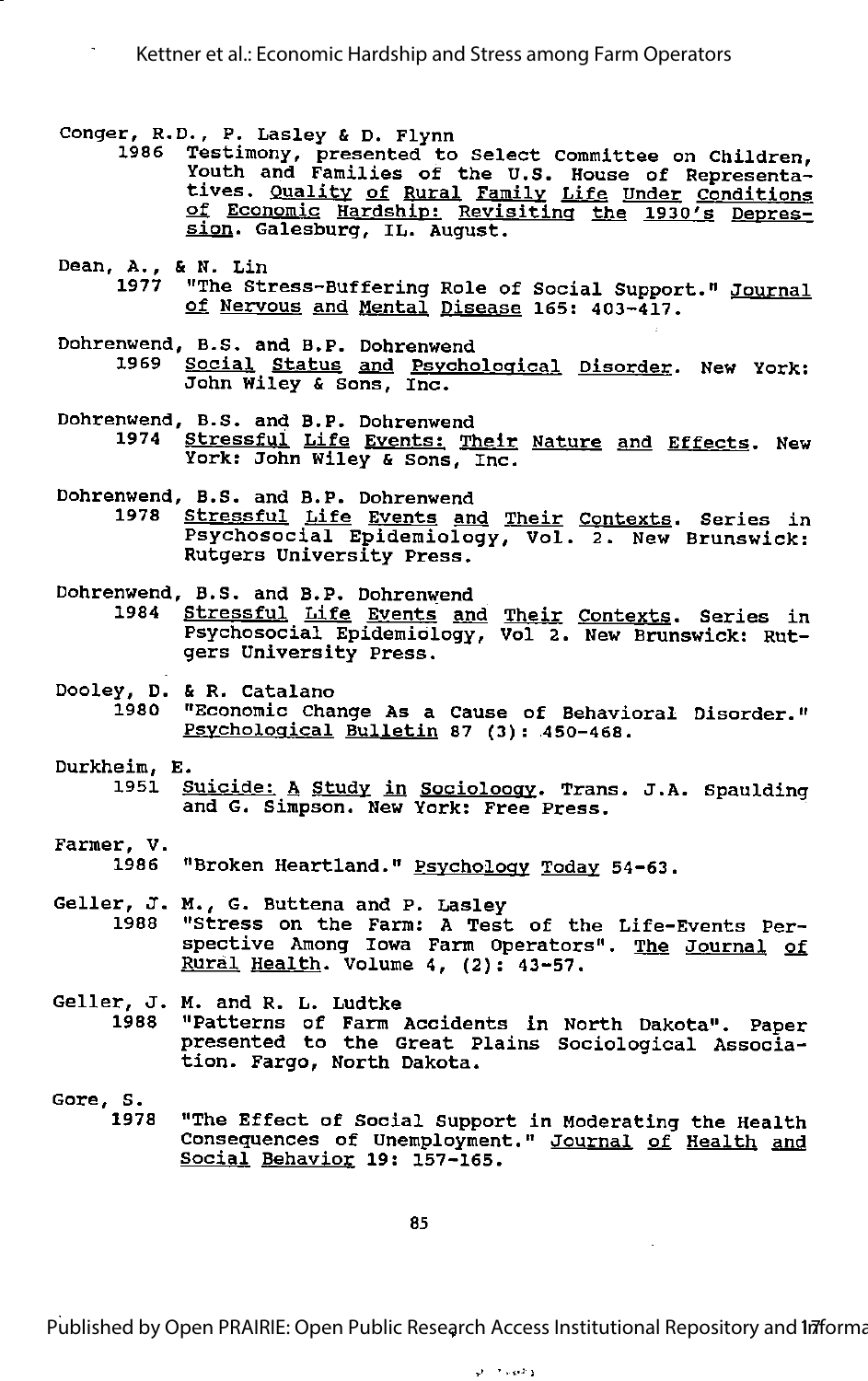Kettner et al.: Economic Hardship and Stress among Farm Operators

- 
- Conger, R.D., P. Lasley & D. Flynn <sup>1986</sup> Testimony, presented to Select Committee on Children, Youth and Families of the U.S. House of Representa tives. Quality of Rural Family Life Under Conditions of Economic Hardship: Revisiting the 1930's Depres sion. Galesburg, IL. August.
- Dean, A., & N. Lin<br>1977 "The Sti 1977 "The Stress-Buffering Role of Social Support." <u>Journal</u><br>Of Nervous and <u>Mental Disease</u> 165: 403-417.
- Dohrenwend, B.S. and B.P. Dohrenwend 1969 Social Status and Psychological Disorder. New York; John Wiley & Sons, Inc.
- Dohrenwend, B.S. and B.P. Dohrenwend Stressful Life Events: Their Nature and Effects. New York: John Wiley & Sons, Inc.
- Dohrenwend, B.S. and B.P. Dohrenwend 1978 Stressful Life Events and Their Contexts. Series in Psychosocial Epidemiology, Vol. 2. New Brunswick: Rutgers University Press.
- Dohrenwend, B.S. and B.P. Dohrenwend
	- 1984 Stressful Life Events and Their Contexts. Series in Psychosocial Epidemiology, Vol 2. New Brunswick: Rut gers University Press.
- Dooley, D. & R. Catalano<br>1980 "Economic Cha "Economic Change As a Cause of Behavioral Disorder." Psvcholoaical Bulletin 87 (3): 450-468.
- Durkheim, E.
	- 1951 Suicide: A Study in Socioloogy. Trans. J.A. Spaulding and G. Simpson. New York: Free Press.
- Farmer, V. 1986 "Broken Heartland." Psychology Today 54-63.
- Geller, J. M., G. Buttena and P. Lasley<br>1988 "Stress on the Farm: A Test "Stress on the Farm: A Test of the Life-Events Perspective Among Iowa Farm Operators". The Journal of Rural Health. Volume 4, (2): 43-57.
- Geller, J. M. and R. L. Ludtke 1988 "Patterns of Farm Accidents in North Dakota". Paper presented to the Great Plains Sociological Associa tion. Fargo, North Dakota.
- Gore, S. "The Effect of Social Support in Moderating the Health Consequences of Unemployment." Journal of Health and Social Behavior 19: 157-165.

85

Published by Open PRAIRIE: Open Public Research Access Institutional Repository and Infforma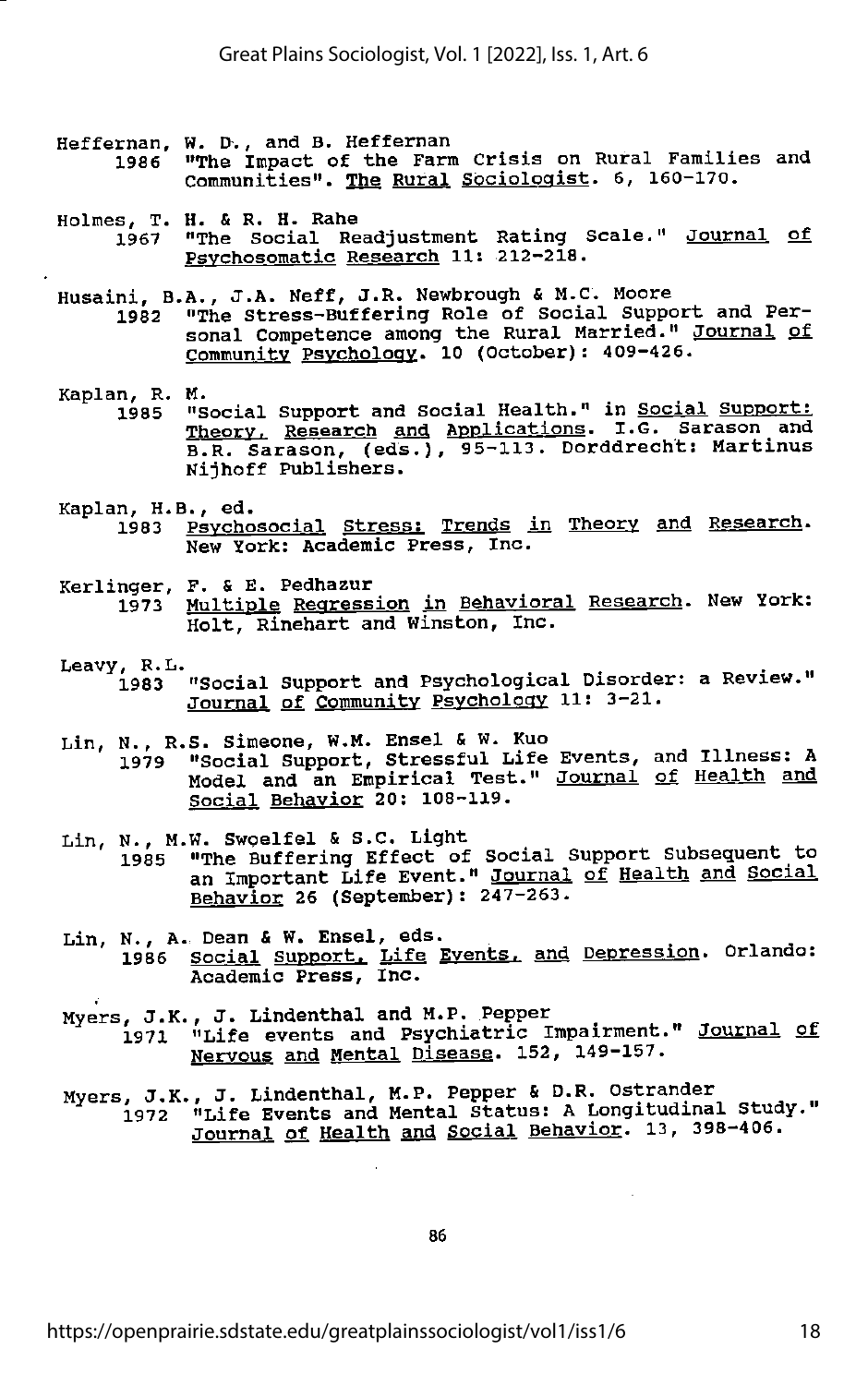- Heffernan, W. D., and B. Heffernan<br>1986 "The Impact of the Farm "The Impact of the Farm Crisis on Rural Families and Communities". The Rural Sociologist. 6, 160-170.
- Holmes, T. H. & R. H. Rahe 1967 "The Social Readjustment Rating Scale." Journal of<br>Psychosomatic Research 11: 212-218.
- Husaini, B.A., J.A. Neff, J.R. Newbrough & M.C. Moore
	- 1982 "The Stress-Buffering Role of Social Support and Per sonal Competence among the Rural Married." Journal of community Psychology. 10 (October): 409-426.
- Kaplan, R. M.<br>1985 "S 1985 "Social Support and Social Health." in Social Support: Theory. Research and Applications. I.G. Sarason and B.R. Sarason, (eds.), 95-113. Dorddrecht: Martinus Nijhoff Publishers.
- Kaplan, H.B., ed.<br>1983 Psycho Psychosocial Stress: Trends in Theory and Research. New York: Academic Press, Inc.
- Kerlinger, F. & E. Pedhazur Multiple Regression in Behavioral Research. New York: Holt, Rinehart and Winston, Inc.
- Leayy, R.L. . . 1983 "Social Support and Psychological Disorder: a Reyiew." Journal of Community Psychology 11: 3-21.
- 
- Lin, N., R.S. Simeone, W.M. Ensel & W. Kuo 1979 "Social Support, Stressful Life Eyents, and Illness: A Model and an Empirical Test." Journal of Health and Social Behayior 20: 108-119.
- Lin, N., M.W. Swoelfel & S.C. Light 1985 "The Buffering Effect of Social Support Subsequent to an Important Life Eyent." Journal of Health and Social Behayior 26 (September): 247-263.
- Lin, N., A. Dean & W. Ensel, eds. 1986 Social Support. Life Eyents. and Depression. Orlando: Academic Press, Inc.
- Myers, J.K., J. Lindenthal and H.P. Pepper 1971 "Life events and Psychiatric Impairment." Journal of Neryous and Mental Disease. 152, 149-157.
- Myers, J.K., J. Lindenthal, M.P. Pepper & D.R. Ostrander<br>1972 "Life Events and Mental Status: A Longitudinal Study." Journal of Health and Social Behavior. 13, 398-406.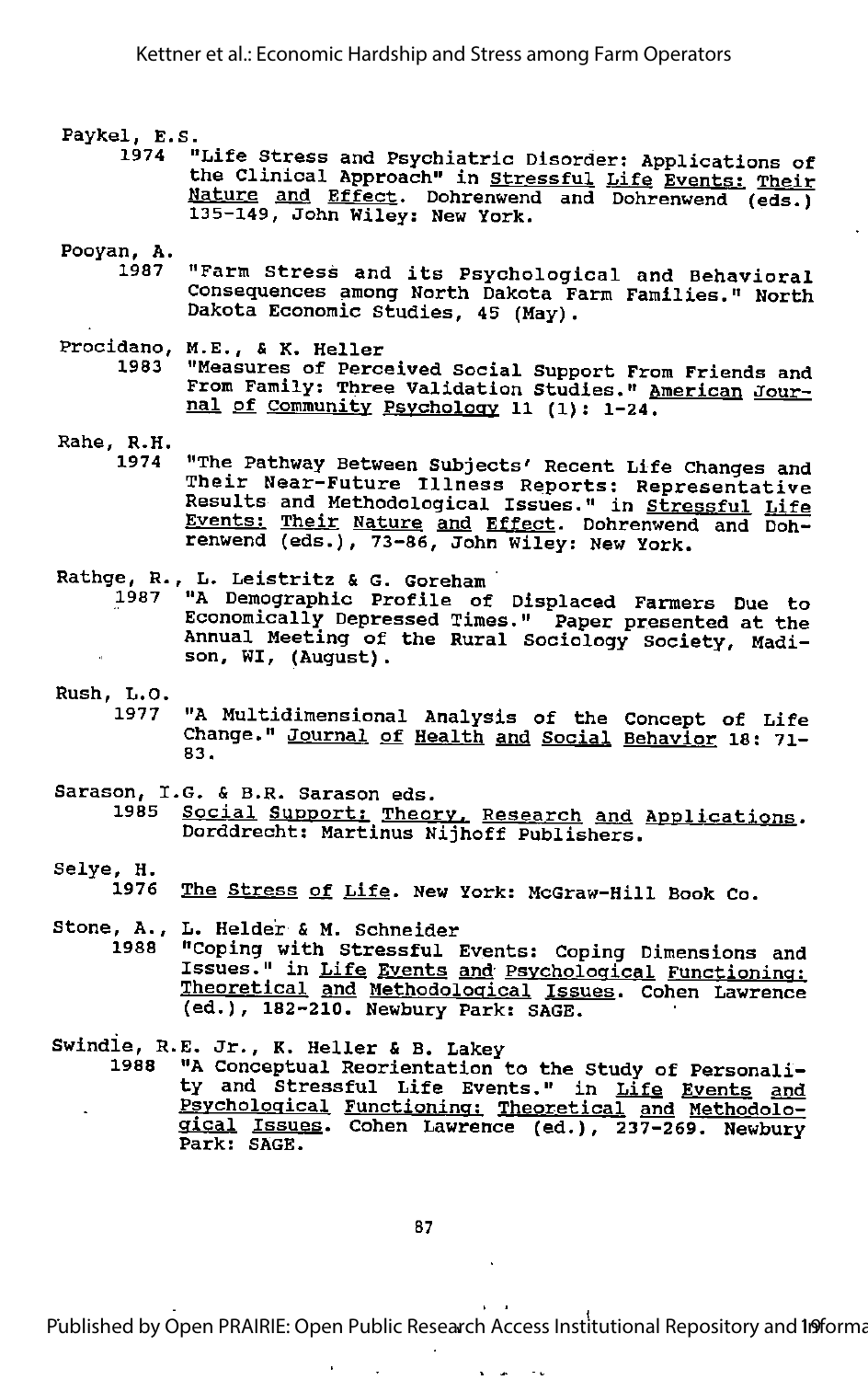## Paykel, E.S.<br>" 1974

"Life Stress and Psychiatric Disorder: Applications of the Clinical Approach" in Stressful Life Events: Their Nature and Effect. Dohrenwend and Dohrenwend (eds.) 135-149, John Wiley: New York.

## Pooyan, A.

- "Farm Stress and its Psychological and Behavioral Consequences among North Dakota Farm Families." North Dakota Economic Studies, 45 (May).
- Procidano, M.E., & K. Heller 1983 "Measures of Perceived Social Support From Friends and From Family: Three Validation Studies." American Jour nal of Community Psychology 11 (1): 1-24.
- Rahe, R.H.
	- 1974 "The Pathway Between Subjects' Recent Life Changes and Their Near-Future Illness Reports; Representative Results and Methodological Issues." in Stressful Life Events: Their Nature and Effect. Dohrenwend and Doh renwend (eds.), 73-86, John Wiley: New York.

#### L. Leistritz & G. Goreham Rathge, R.

'A Demographic Profile of Displaced Farmers Due to Economically Depressed Times." Paper presented at the Annual Meeting of the Rural Sociology Society, Madi son, WI, (August). 1987

- Rush, L.O.
	- "A Multidimensional Analysis of the Concept of Life Change." Journal of Health and Social Behavior 18: 71-BS.
- Sarason, I.G. & B.R. Sarason eds.<br>1985 Social Support: Theor
	- Social Support: Theory, Research and Applications. Dorddrecht: Martinus Nijhoff Publishers.
- Selye, H.
	- The Stress of Life. New York: McGraw-Hill Book Co.
- Stone, A., L. Helder & M. Schneider "Coping with Stressful Events: Coping Dimensions and Issues." in Life Events and Psychological Functioning: Theoretical and Methodological Issues. Cohen Lawrence (ed.), 182-210. Newbury Park: SAGE.
- Swindle, R.E. Jr., K. Heller & B. Lakey<br>1988 "A Concentual Reorientation
	- "A Conceptual Reorientation to the Study of Personality and Stressful Life Events." in Life Events and Psychological Functioning: Theoretical and Methodolo gical Issues. Cohen Lawrence (ed.), 237-269. Newbury Park: SAGE.

Published by Open PRAIRIE: Open Public Research Access Institutional Repository and 19 forma

 $\sim$   $\sim$  $\sim 100$  km s  $^{-1}$